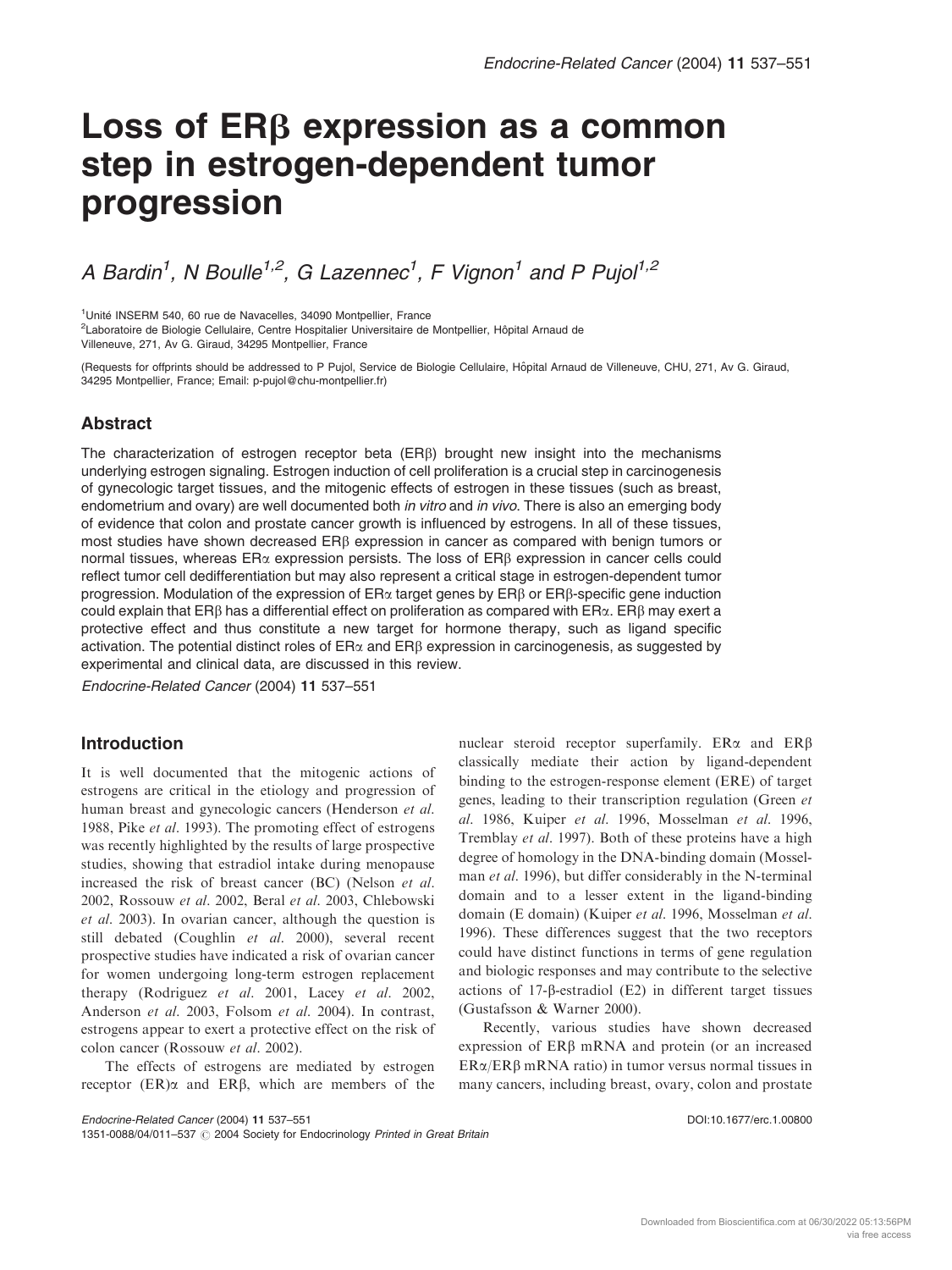# Loss of ER<sub>B</sub> expression as a common step in estrogen-dependent tumor progression

A Bardin<sup>1</sup>, N Boulle<sup>1,2</sup>, G Lazennec<sup>1</sup>, F Vignon<sup>1</sup> and P Pujol<sup>1,2</sup>

<sup>1</sup>Unité INSERM 540, 60 rue de Navacelles, 34090 Montpellier, France

<sup>2</sup>Laboratoire de Biologie Cellulaire, Centre Hospitalier Universitaire de Montpellier, Hôpital Arnaud de

Villeneuve, 271, Av G. Giraud, 34295 Montpellier, France

(Requests for offprints should be addressed to P Pujol, Service de Biologie Cellulaire, Hôpital Arnaud de Villeneuve, CHU, 271, Av G. Giraud, 34295 Montpellier, France; Email: p-pujol@chu-montpellier.fr)

#### Abstract

The characterization of estrogen receptor beta (ERb) brought new insight into the mechanisms underlying estrogen signaling. Estrogen induction of cell proliferation is a crucial step in carcinogenesis of gynecologic target tissues, and the mitogenic effects of estrogen in these tissues (such as breast, endometrium and ovary) are well documented both in vitro and in vivo. There is also an emerging body of evidence that colon and prostate cancer growth is influenced by estrogens. In all of these tissues, most studies have shown decreased  $ER\beta$  expression in cancer as compared with benign tumors or normal tissues, whereas  $ER\alpha$  expression persists. The loss of  $ER\beta$  expression in cancer cells could reflect tumor cell dedifferentiation but may also represent a critical stage in estrogen-dependent tumor progression. Modulation of the expression of  $ER\alpha$  target genes by  $ER\beta$  or  $ER\beta$ -specific gene induction could explain that ER $\beta$  has a differential effect on proliferation as compared with ER $\alpha$ . ER $\beta$  may exert a protective effect and thus constitute a new target for hormone therapy, such as ligand specific activation. The potential distinct roles of  $ER\alpha$  and  $ER\beta$  expression in carcinogenesis, as suggested by experimental and clinical data, are discussed in this review.

Endocrine-Related Cancer (2004) 11 537–551

## Introduction

It is well documented that the mitogenic actions of estrogens are critical in the etiology and progression of human breast and gynecologic cancers (Henderson et al. 1988, Pike et al. 1993). The promoting effect of estrogens was recently highlighted by the results of large prospective studies, showing that estradiol intake during menopause increased the risk of breast cancer (BC) (Nelson et al. 2002, Rossouw et al. 2002, Beral et al. 2003, Chlebowski et al. 2003). In ovarian cancer, although the question is still debated (Coughlin et al. 2000), several recent prospective studies have indicated a risk of ovarian cancer for women undergoing long-term estrogen replacement therapy (Rodriguez et al. 2001, Lacey et al. 2002, Anderson et al. 2003, Folsom et al. 2004). In contrast, estrogens appear to exert a protective effect on the risk of colon cancer (Rossouw et al. 2002).

The effects of estrogens are mediated by estrogen receptor  $(ER)\alpha$  and  $ER\beta$ , which are members of the nuclear steroid receptor superfamily.  $ER\alpha$  and  $ER\beta$ classically mediate their action by ligand-dependent binding to the estrogen-response element (ERE) of target genes, leading to their transcription regulation (Green et al. 1986, Kuiper et al. 1996, Mosselman et al. 1996, Tremblay et al. 1997). Both of these proteins have a high degree of homology in the DNA-binding domain (Mosselman et al. 1996), but differ considerably in the N-terminal domain and to a lesser extent in the ligand-binding domain (E domain) (Kuiper et al. 1996, Mosselman et al. 1996). These differences suggest that the two receptors could have distinct functions in terms of gene regulation and biologic responses and may contribute to the selective actions of 17-b-estradiol (E2) in different target tissues (Gustafsson & Warner 2000).

Recently, various studies have shown decreased expression of  $ER\beta$  mRNA and protein (or an increased  $ER\alpha/ER\beta$  mRNA ratio) in tumor versus normal tissues in many cancers, including breast, ovary, colon and prostate

1351-0088/04/011-537  $\odot$  2004 Society for Endocrinology Printed in Great Britain

Endocrine-Related Cancer (2004) 11 537–551 DOI:10.1677/erc.1.00800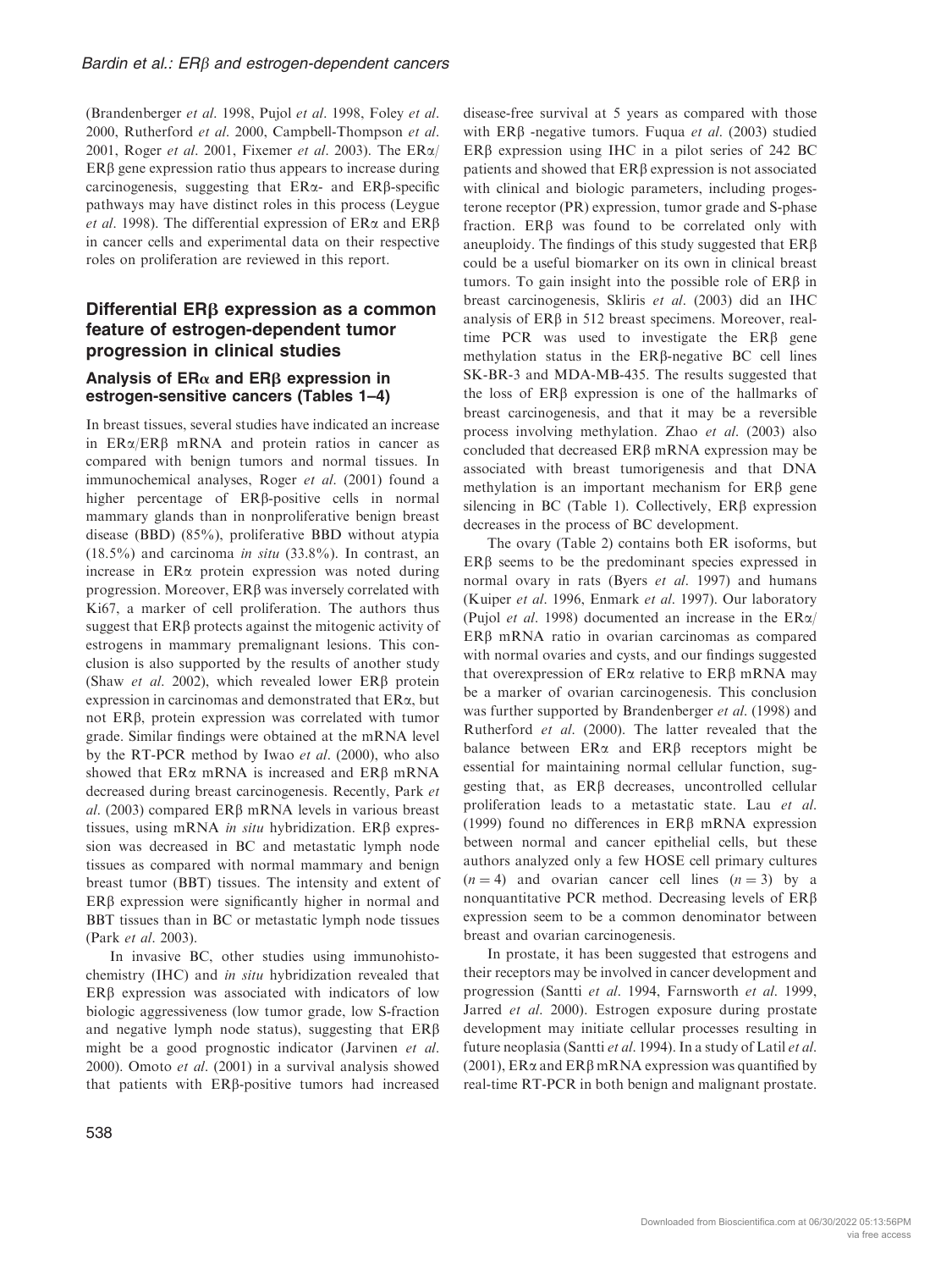(Brandenberger et al. 1998, Pujol et al. 1998, Foley et al. 2000, Rutherford et al. 2000, Campbell-Thompson et al. 2001, Roger et al. 2001, Fixemer et al. 2003). The  $ER\alpha/$  $ER\beta$  gene expression ratio thus appears to increase during carcinogenesis, suggesting that  $ER\alpha$ - and  $ER\beta$ -specific pathways may have distinct roles in this process (Leygue et al. 1998). The differential expression of  $ER\alpha$  and  $ER\beta$ in cancer cells and experimental data on their respective roles on proliferation are reviewed in this report.

# Differential  $ER\beta$  expression as a common feature of estrogen-dependent tumor progression in clinical studies

## Analysis of  $ER\alpha$  and  $ER\beta$  expression in estrogen-sensitive cancers (Tables 1–4)

In breast tissues, several studies have indicated an increase in  $ER\alpha/ER\beta$  mRNA and protein ratios in cancer as compared with benign tumors and normal tissues. In immunochemical analyses, Roger et al. (2001) found a higher percentage of  $ER\beta$ -positive cells in normal mammary glands than in nonproliferative benign breast disease (BBD) (85%), proliferative BBD without atypia  $(18.5\%)$  and carcinoma *in situ*  $(33.8\%)$ . In contrast, an increase in ERa protein expression was noted during progression. Moreover, ER<sub>B</sub> was inversely correlated with Ki67, a marker of cell proliferation. The authors thus suggest that  $ER\beta$  protects against the mitogenic activity of estrogens in mammary premalignant lesions. This conclusion is also supported by the results of another study (Shaw *et al.* 2002), which revealed lower ERB protein expression in carcinomas and demonstrated that ERa, but not ERb, protein expression was correlated with tumor grade. Similar findings were obtained at the mRNA level by the RT-PCR method by Iwao et al. (2000), who also showed that  $ER\alpha$  mRNA is increased and  $ER\beta$  mRNA decreased during breast carcinogenesis. Recently, Park et al. (2003) compared  $ER\beta$  mRNA levels in various breast tissues, using mRNA in situ hybridization. ER $\beta$  expression was decreased in BC and metastatic lymph node tissues as compared with normal mammary and benign breast tumor (BBT) tissues. The intensity and extent of  $ER\beta$  expression were significantly higher in normal and BBT tissues than in BC or metastatic lymph node tissues (Park et al. 2003).

In invasive BC, other studies using immunohistochemistry (IHC) and in situ hybridization revealed that  $ER\beta$  expression was associated with indicators of low biologic aggressiveness (low tumor grade, low S-fraction and negative lymph node status), suggesting that  $ER\beta$ might be a good prognostic indicator (Jarvinen et al. 2000). Omoto et al. (2001) in a survival analysis showed that patients with  $ER\beta$ -positive tumors had increased disease-free survival at 5 years as compared with those with ERB -negative tumors. Fugua et al. (2003) studied  $ER\beta$  expression using IHC in a pilot series of 242 BC patients and showed that ERb expression is not associated with clinical and biologic parameters, including progesterone receptor (PR) expression, tumor grade and S-phase fraction.  $ER\beta$  was found to be correlated only with aneuploidy. The findings of this study suggested that  $ER\beta$ could be a useful biomarker on its own in clinical breast tumors. To gain insight into the possible role of ERB in breast carcinogenesis, Skliris et al. (2003) did an IHC analysis of ER<sub>B</sub> in 512 breast specimens. Moreover, realtime PCR was used to investigate the  $ER\beta$  gene methylation status in the  $ER\beta$ -negative BC cell lines SK-BR-3 and MDA-MB-435. The results suggested that the loss of ERb expression is one of the hallmarks of breast carcinogenesis, and that it may be a reversible process involving methylation. Zhao et al. (2003) also concluded that decreased  $ER\beta$  mRNA expression may be associated with breast tumorigenesis and that DNA methylation is an important mechanism for ERB gene silencing in BC (Table 1). Collectively,  $ER\beta$  expression decreases in the process of BC development.

The ovary (Table 2) contains both ER isoforms, but ERB seems to be the predominant species expressed in normal ovary in rats (Byers *et al.* 1997) and humans (Kuiper et al. 1996, Enmark et al. 1997). Our laboratory (Pujol *et al.* 1998) documented an increase in the  $ER\alpha$  $ER\beta$  mRNA ratio in ovarian carcinomas as compared with normal ovaries and cysts, and our findings suggested that overexpression of  $ER\alpha$  relative to  $ER\beta$  mRNA may be a marker of ovarian carcinogenesis. This conclusion was further supported by Brandenberger *et al.* (1998) and Rutherford et al. (2000). The latter revealed that the balance between  $ER\alpha$  and  $ER\beta$  receptors might be essential for maintaining normal cellular function, suggesting that, as ERb decreases, uncontrolled cellular proliferation leads to a metastatic state. Lau et al. (1999) found no differences in  $ER\beta$  mRNA expression between normal and cancer epithelial cells, but these authors analyzed only a few HOSE cell primary cultures  $(n = 4)$  and ovarian cancer cell lines  $(n = 3)$  by a nonquantitative PCR method. Decreasing levels of ERb expression seem to be a common denominator between breast and ovarian carcinogenesis.

In prostate, it has been suggested that estrogens and their receptors may be involved in cancer development and progression (Santti et al. 1994, Farnsworth et al. 1999, Jarred et al. 2000). Estrogen exposure during prostate development may initiate cellular processes resulting in future neoplasia (Santti et al. 1994). In a study of Latil et al. (2001),  $ER\alpha$  and  $ER\beta$  mRNA expression was quantified by real-time RT-PCR in both benign and malignant prostate.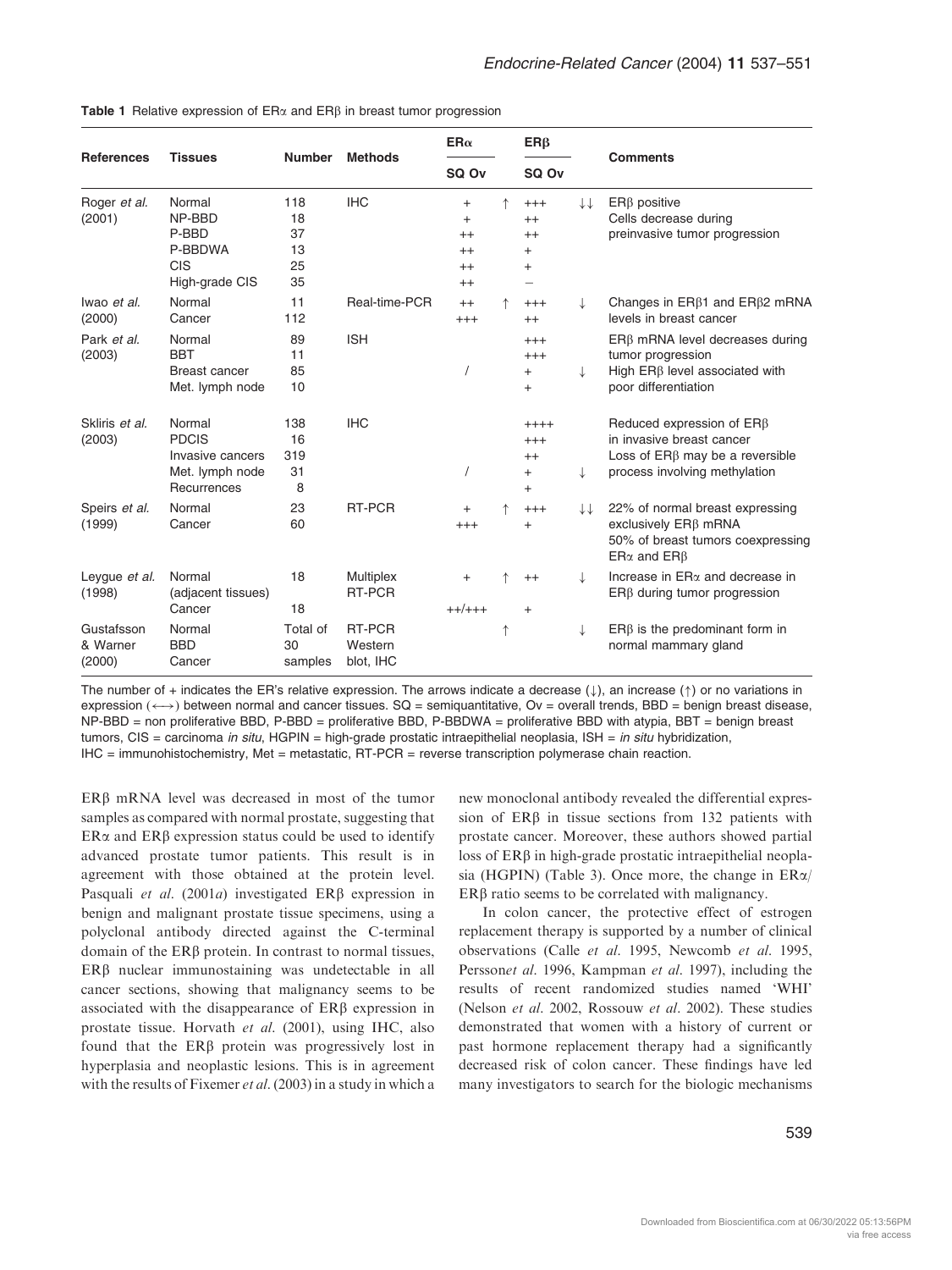| <b>References</b>                | <b>Tissues</b>                                                               | <b>Number</b>                     |                                | $ER\alpha$<br>SQ Ov                                          |   | $ER\beta$                                          |              |                                                                                                                                              |
|----------------------------------|------------------------------------------------------------------------------|-----------------------------------|--------------------------------|--------------------------------------------------------------|---|----------------------------------------------------|--------------|----------------------------------------------------------------------------------------------------------------------------------------------|
|                                  |                                                                              |                                   | <b>Methods</b>                 |                                                              |   | SQ Ov                                              |              | <b>Comments</b>                                                                                                                              |
| Roger et al.<br>(2001)           | Normal<br>NP-BBD<br>P-BBD<br>P-BBDWA<br><b>CIS</b><br>High-grade CIS         | 118<br>18<br>37<br>13<br>25<br>35 | <b>IHC</b>                     | $^{+}$<br>$^{+}$<br>$^{++}$<br>$^{++}$<br>$^{++}$<br>$^{++}$ | 个 | $^{+++}$<br>$^{++}$<br>$^{++}$<br>$^{+}$<br>$^{+}$ | ↓↓           | $ER\beta$ positive<br>Cells decrease during<br>preinvasive tumor progression                                                                 |
| Iwao et al.<br>(2000)            | Normal<br>Cancer                                                             | 11<br>112                         | Real-time-PCR                  | $^{++}$<br>$^{+++}$                                          |   | $^{+++}$<br>$^{++}$                                | $\downarrow$ | Changes in $ER\beta1$ and $ER\beta2$ mRNA<br>levels in breast cancer                                                                         |
| Park et al.<br>(2003)            | Normal<br><b>BBT</b><br>Breast cancer<br>Met. lymph node                     | 89<br>11<br>85<br>10              | <b>ISH</b>                     |                                                              |   | $^{+++}$<br>$^{+++}$<br>$+$<br>$+$                 | $\downarrow$ | ERB mRNA level decreases during<br>tumor progression<br>High $ER\beta$ level associated with<br>poor differentiation                         |
| Skliris et al.<br>(2003)         | Normal<br><b>PDCIS</b><br>Invasive cancers<br>Met. lymph node<br>Recurrences | 138<br>16<br>319<br>31<br>8       | <b>IHC</b>                     |                                                              |   | $++++$<br>$^{+++}$<br>$++$<br>$^{+}$<br>$+$        |              | Reduced expression of $ER\beta$<br>in invasive breast cancer<br>Loss of ER <sub>B</sub> may be a reversible<br>process involving methylation |
| Speirs et al.<br>(1999)          | Normal<br>Cancer                                                             | 23<br>60                          | RT-PCR                         | $\ddot{}$<br>$^{+++}$                                        |   | $^{+++}$<br>$^{+}$                                 | II           | 22% of normal breast expressing<br>exclusively ER <sub>B</sub> mRNA<br>50% of breast tumors coexpressing<br>$ER\alpha$ and $ER\beta$         |
| Leygue et al.<br>(1998)          | Normal<br>(adjacent tissues)<br>Cancer                                       | 18<br>18                          | Multiplex<br>RT-PCR            | $\ddot{}$<br>$++/+++$                                        |   | $^{++}$<br>$+$                                     | ↓            | Increase in $ER\alpha$ and decrease in<br>$ER\beta$ during tumor progression                                                                 |
| Gustafsson<br>& Warner<br>(2000) | Normal<br><b>BBD</b><br>Cancer                                               | Total of<br>30<br>samples         | RT-PCR<br>Western<br>blot, IHC |                                                              | ↑ |                                                    |              | $ER\beta$ is the predominant form in<br>normal mammary gland                                                                                 |

Table 1 Relative expression of  $ER\alpha$  and  $ER\beta$  in breast tumor progression

The number of + indicates the ER's relative expression. The arrows indicate a decrease  $(\downarrow)$ , an increase  $(\uparrow)$  or no variations in expression  $(\leftrightarrow)$  between normal and cancer tissues. SQ = semiquantitative, Ov = overall trends, BBD = benign breast disease,  $NP-BBD = non$  proliferative BBD, P-BBD = proliferative BBD, P-BBDWA = proliferative BBD with atypia, BBT = benign breast tumors,  $CIS =$  carcinoma in situ, HGPIN = high-grade prostatic intraepithelial neoplasia, ISH = in situ hybridization, IHC = immunohistochemistry, Met = metastatic, RT-PCR = reverse transcription polymerase chain reaction.

ERB mRNA level was decreased in most of the tumor samples as compared with normal prostate, suggesting that  $ER\alpha$  and  $ER\beta$  expression status could be used to identify advanced prostate tumor patients. This result is in agreement with those obtained at the protein level. Pasquali et al. (2001a) investigated  $ER\beta$  expression in benign and malignant prostate tissue specimens, using a polyclonal antibody directed against the C-terminal domain of the ER<sub>B</sub> protein. In contrast to normal tissues, ERB nuclear immunostaining was undetectable in all cancer sections, showing that malignancy seems to be associated with the disappearance of  $ER\beta$  expression in prostate tissue. Horvath et al. (2001), using IHC, also found that the  $ER\beta$  protein was progressively lost in hyperplasia and neoplastic lesions. This is in agreement with the results of Fixemer et al. (2003) in a study in which a

new monoclonal antibody revealed the differential expression of ERB in tissue sections from 132 patients with prostate cancer. Moreover, these authors showed partial loss of  $ER\beta$  in high-grade prostatic intraepithelial neoplasia (HGPIN) (Table 3). Once more, the change in ERa/  $ER\beta$  ratio seems to be correlated with malignancy.

In colon cancer, the protective effect of estrogen replacement therapy is supported by a number of clinical observations (Calle et al. 1995, Newcomb et al. 1995, Perssonet al. 1996, Kampman et al. 1997), including the results of recent randomized studies named 'WHI' (Nelson et al. 2002, Rossouw et al. 2002). These studies demonstrated that women with a history of current or past hormone replacement therapy had a significantly decreased risk of colon cancer. These findings have led many investigators to search for the biologic mechanisms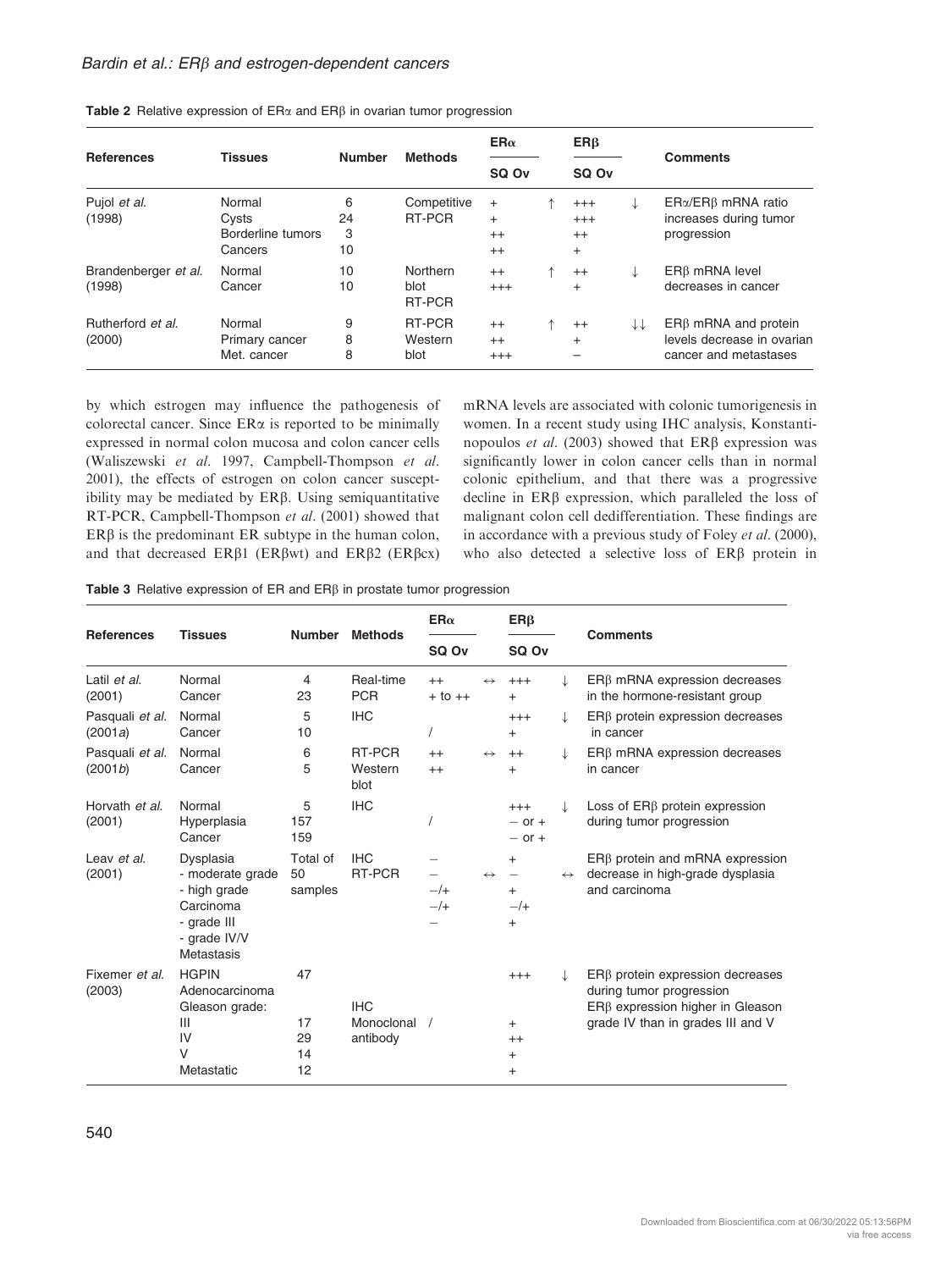#### Bardin et al.:  $ER\beta$  and estrogen-dependent cancers

| <b>References</b>              | <b>Tissues</b>                                  | <b>Number</b>      | <b>Methods</b>             | $ER\alpha$<br>SQ Ov                   |  | $ER\beta$                                    |    |                                                                                   |
|--------------------------------|-------------------------------------------------|--------------------|----------------------------|---------------------------------------|--|----------------------------------------------|----|-----------------------------------------------------------------------------------|
|                                |                                                 |                    |                            |                                       |  | SQ Ov                                        |    | <b>Comments</b>                                                                   |
| Pujol et al.<br>(1998)         | Normal<br>Cysts<br>Borderline tumors<br>Cancers | 6<br>24<br>3<br>10 | Competitive<br>RT-PCR      | $\pm$<br>$^{+}$<br>$^{++}$<br>$^{++}$ |  | $^{+++}$<br>$^{+++}$<br>$^{++}$<br>$\ddot{}$ | ↓  | $ER\alpha/ER\beta$ mRNA ratio<br>increases during tumor<br>progression            |
| Brandenberger et al.<br>(1998) | Normal<br>Cancer                                | 10<br>10           | Northern<br>blot<br>RT-PCR | $^{++}$<br>$+++$                      |  | $^{++}$<br>$^{+}$                            | ↓  | $ER\beta$ mRNA level<br>decreases in cancer                                       |
| Rutherford et al.<br>(2000)    | Normal<br>Primary cancer<br>Met. cancer         | 9<br>8<br>8        | RT-PCR<br>Western<br>blot  | $^{++}$<br>$^{++}$<br>$^{+++}$        |  | $^{++}$<br>$^{+}$                            | ↓↓ | $ER\beta$ mRNA and protein<br>levels decrease in ovarian<br>cancer and metastases |

Table 2 Relative expression of  $ER\alpha$  and  $ER\beta$  in ovarian tumor progression

by which estrogen may influence the pathogenesis of colorectal cancer. Since  $ER\alpha$  is reported to be minimally expressed in normal colon mucosa and colon cancer cells (Waliszewski et al. 1997, Campbell-Thompson et al. 2001), the effects of estrogen on colon cancer susceptibility may be mediated by  $ER\beta$ . Using semiquantitative RT-PCR, Campbell-Thompson et al. (2001) showed that  $ER\beta$  is the predominant ER subtype in the human colon, and that decreased  $ER\beta1$  ( $ER\betawt$ ) and  $ER\beta2$  ( $ER\betacx$ ) mRNA levels are associated with colonic tumorigenesis in women. In a recent study using IHC analysis, Konstantinopoulos et al. (2003) showed that  $ER\beta$  expression was significantly lower in colon cancer cells than in normal colonic epithelium, and that there was a progressive decline in  $ER\beta$  expression, which paralleled the loss of malignant colon cell dedifferentiation. These findings are in accordance with a previous study of Foley et al. (2000), who also detected a selective loss of ERB protein in

Table 3 Relative expression of ER and ER<sub>B</sub> in prostate tumor progression

|                            |                                                                                                         |                            |                                      | $ER\alpha$          |                   | $ER\beta$                                                  |                   |                                                                                                                                                   |  |
|----------------------------|---------------------------------------------------------------------------------------------------------|----------------------------|--------------------------------------|---------------------|-------------------|------------------------------------------------------------|-------------------|---------------------------------------------------------------------------------------------------------------------------------------------------|--|
| <b>References</b>          | <b>Tissues</b>                                                                                          | <b>Number</b>              | <b>Methods</b>                       | SQ Ov               |                   | SQ Ov                                                      |                   | <b>Comments</b>                                                                                                                                   |  |
| Latil et al.<br>(2001)     | Normal<br>Cancer                                                                                        | 4<br>23                    | Real-time<br><b>PCR</b>              | $++$<br>$+$ to $++$ | $\leftrightarrow$ | $^{+++}$<br>$^{+}$                                         |                   | $ER\beta$ mRNA expression decreases<br>in the hormone-resistant group                                                                             |  |
| Pasquali et al.<br>(2001a) | Normal<br>Cancer                                                                                        | 5<br>10                    | <b>IHC</b>                           |                     |                   | $^{+++}$<br>$+$                                            | $\downarrow$      | $ER\beta$ protein expression decreases<br>in cancer                                                                                               |  |
| Pasquali et al.<br>(2001b) | Normal<br>Cancer                                                                                        | 6<br>5                     | RT-PCR<br>Western<br>blot            | $^{++}$<br>$^{++}$  | $\leftrightarrow$ | $++$<br>$^{+}$                                             |                   | $ER\beta$ mRNA expression decreases<br>in cancer                                                                                                  |  |
| Horvath et al.<br>(2001)   | Normal<br>Hyperplasia<br>Cancer                                                                         | 5<br>157<br>159            | <b>IHC</b>                           |                     |                   | $+++$<br>$-$ or $+$<br>$-$ or $+$                          | J                 | Loss of $ER\beta$ protein expression<br>during tumor progression                                                                                  |  |
| Leav et al.<br>(2001)      | Dysplasia<br>- moderate grade<br>- high grade<br>Carcinoma<br>- grade III<br>- grade IV/V<br>Metastasis | Total of<br>50<br>samples  | <b>IHC</b><br>RT-PCR                 | $-$ /+<br>$-$ /+    | $\leftrightarrow$ | $^{+}$<br>$\overline{\phantom{m}}$<br>$+$<br>$-$ /+<br>$+$ | $\leftrightarrow$ | $ER\beta$ protein and mRNA expression<br>decrease in high-grade dysplasia<br>and carcinoma                                                        |  |
| Fixemer et al.<br>(2003)   | <b>HGPIN</b><br>Adenocarcinoma<br>Gleason grade:<br>$\mathbf{III}$<br>IV<br>$\vee$<br>Metastatic        | 47<br>17<br>29<br>14<br>12 | <b>IHC</b><br>Monoclonal<br>antibody |                     |                   | $+++$<br>$+$<br>$++$<br>$+$<br>$^{+}$                      | J                 | $ER\beta$ protein expression decreases<br>during tumor progression<br>$ER\beta$ expression higher in Gleason<br>grade IV than in grades III and V |  |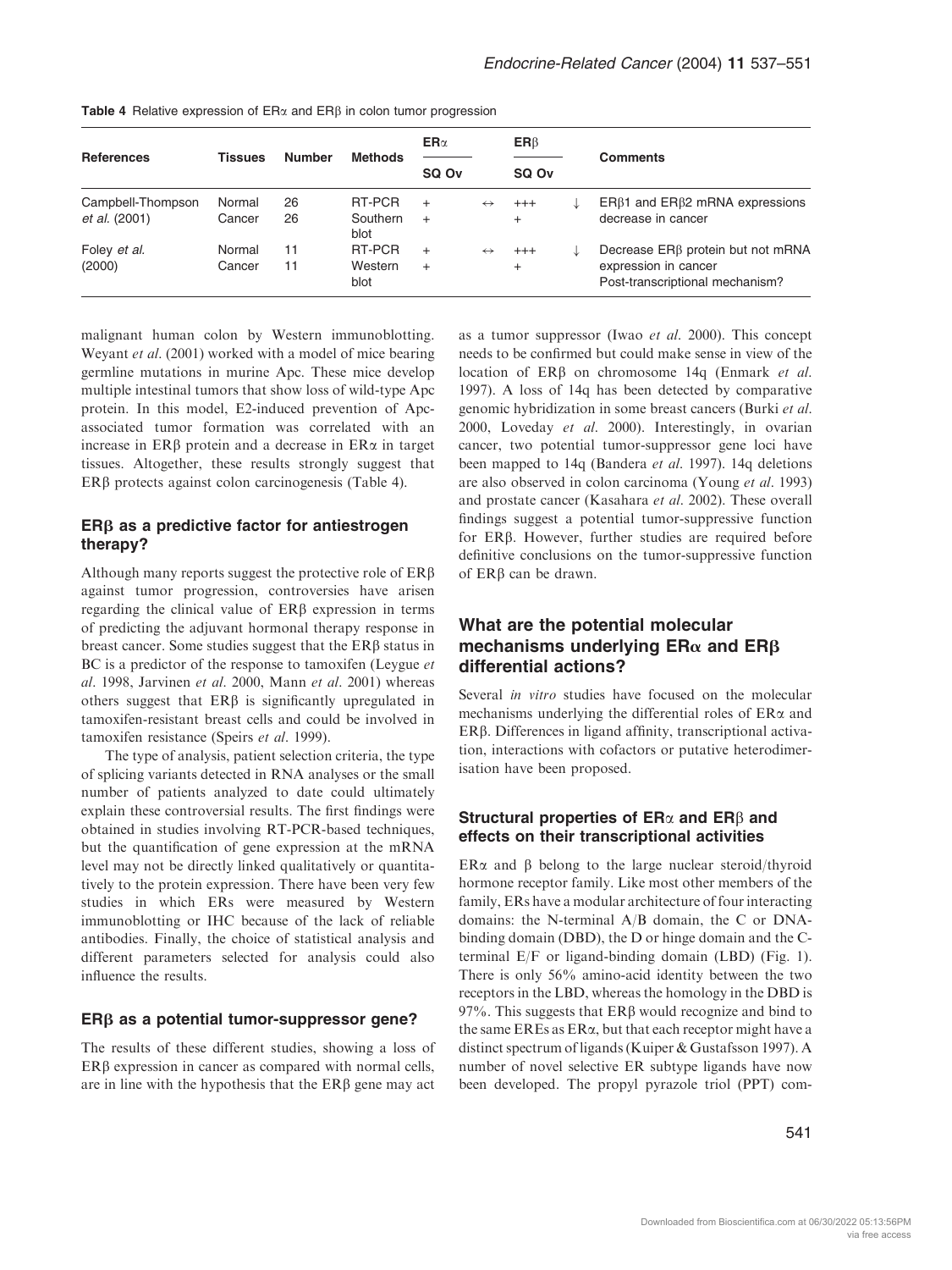| <b>References</b> | <b>Tissues</b> | <b>Number</b> | <b>Methods</b>   | $ER\alpha$ |                   | ER <sub>β</sub> |   | <b>Comments</b>                                         |
|-------------------|----------------|---------------|------------------|------------|-------------------|-----------------|---|---------------------------------------------------------|
|                   |                |               |                  | SQ Ov      |                   | SQ Ov           |   |                                                         |
| Campbell-Thompson | Normal         | 26            | RT-PCR           | $^{+}$     | $\leftrightarrow$ | $^{+++}$        |   | $ER\beta1$ and $ER\beta2$ mRNA expressions              |
| et al. (2001)     | Cancer         | 26            | Southern<br>blot | $^{+}$     |                   | $^{+}$          |   | decrease in cancer                                      |
| Foley et al.      | Normal         | 11            | RT-PCR           | $^{+}$     | $\leftrightarrow$ | $^{+++}$        | ↓ | Decrease ER <sub>B</sub> protein but not mRNA           |
| (2000)            | Cancer         | 11            | Western<br>blot  | $\ddot{}$  |                   | $^{+}$          |   | expression in cancer<br>Post-transcriptional mechanism? |

Table 4 Relative expression of  $ER\alpha$  and  $ER\beta$  in colon tumor progression

malignant human colon by Western immunoblotting. Weyant et al. (2001) worked with a model of mice bearing germline mutations in murine Apc. These mice develop multiple intestinal tumors that show loss of wild-type Apc protein. In this model, E2-induced prevention of Apcassociated tumor formation was correlated with an increase in  $ER\beta$  protein and a decrease in  $ER\alpha$  in target tissues. Altogether, these results strongly suggest that  $ER\beta$  protects against colon carcinogenesis (Table 4).

## $ER\beta$  as a predictive factor for antiestrogen therapy?

Although many reports suggest the protective role of  $ER\beta$ against tumor progression, controversies have arisen regarding the clinical value of  $ER\beta$  expression in terms of predicting the adjuvant hormonal therapy response in breast cancer. Some studies suggest that the  $ER\beta$  status in BC is a predictor of the response to tamoxifen (Leygue *et*) al. 1998, Jarvinen et al. 2000, Mann et al. 2001) whereas others suggest that  $ER\beta$  is significantly upregulated in tamoxifen-resistant breast cells and could be involved in tamoxifen resistance (Speirs et al. 1999).

The type of analysis, patient selection criteria, the type of splicing variants detected in RNA analyses or the small number of patients analyzed to date could ultimately explain these controversial results. The first findings were obtained in studies involving RT-PCR-based techniques, but the quantification of gene expression at the mRNA level may not be directly linked qualitatively or quantitatively to the protein expression. There have been very few studies in which ERs were measured by Western immunoblotting or IHC because of the lack of reliable antibodies. Finally, the choice of statistical analysis and different parameters selected for analysis could also influence the results.

#### $ER\beta$  as a potential tumor-suppressor gene?

The results of these different studies, showing a loss of ERB expression in cancer as compared with normal cells, are in line with the hypothesis that the  $ER\beta$  gene may act

as a tumor suppressor (Iwao et al. 2000). This concept needs to be confirmed but could make sense in view of the location of ERB on chromosome 14q (Enmark et al. 1997). A loss of 14q has been detected by comparative genomic hybridization in some breast cancers (Burki et al. 2000, Loveday et al. 2000). Interestingly, in ovarian cancer, two potential tumor-suppressor gene loci have been mapped to 14q (Bandera et al. 1997). 14q deletions are also observed in colon carcinoma (Young et al. 1993) and prostate cancer (Kasahara et al. 2002). These overall findings suggest a potential tumor-suppressive function for ERb. However, further studies are required before definitive conclusions on the tumor-suppressive function of ERb can be drawn.

# What are the potential molecular mechanisms underlying  $ER\alpha$  and  $ER\beta$ differential actions?

Several *in vitro* studies have focused on the molecular mechanisms underlying the differential roles of  $ER\alpha$  and ERβ. Differences in ligand affinity, transcriptional activation, interactions with cofactors or putative heterodimerisation have been proposed.

## Structural properties of  $ER\alpha$  and  $ER\beta$  and effects on their transcriptional activities

ER $\alpha$  and  $\beta$  belong to the large nuclear steroid/thyroid hormone receptor family. Like most other members of the family, ERs have a modular architecture of four interacting domains: the N-terminal A/B domain, the C or DNAbinding domain (DBD), the D or hinge domain and the Cterminal E/F or ligand-binding domain (LBD) (Fig. 1). There is only 56% amino-acid identity between the two receptors in the LBD, whereas the homology in the DBD is 97%. This suggests that ERb would recognize and bind to the same EREs as  $ER\alpha$ , but that each receptor might have a distinct spectrum of ligands (Kuiper & Gustafsson 1997). A number of novel selective ER subtype ligands have now been developed. The propyl pyrazole triol (PPT) com-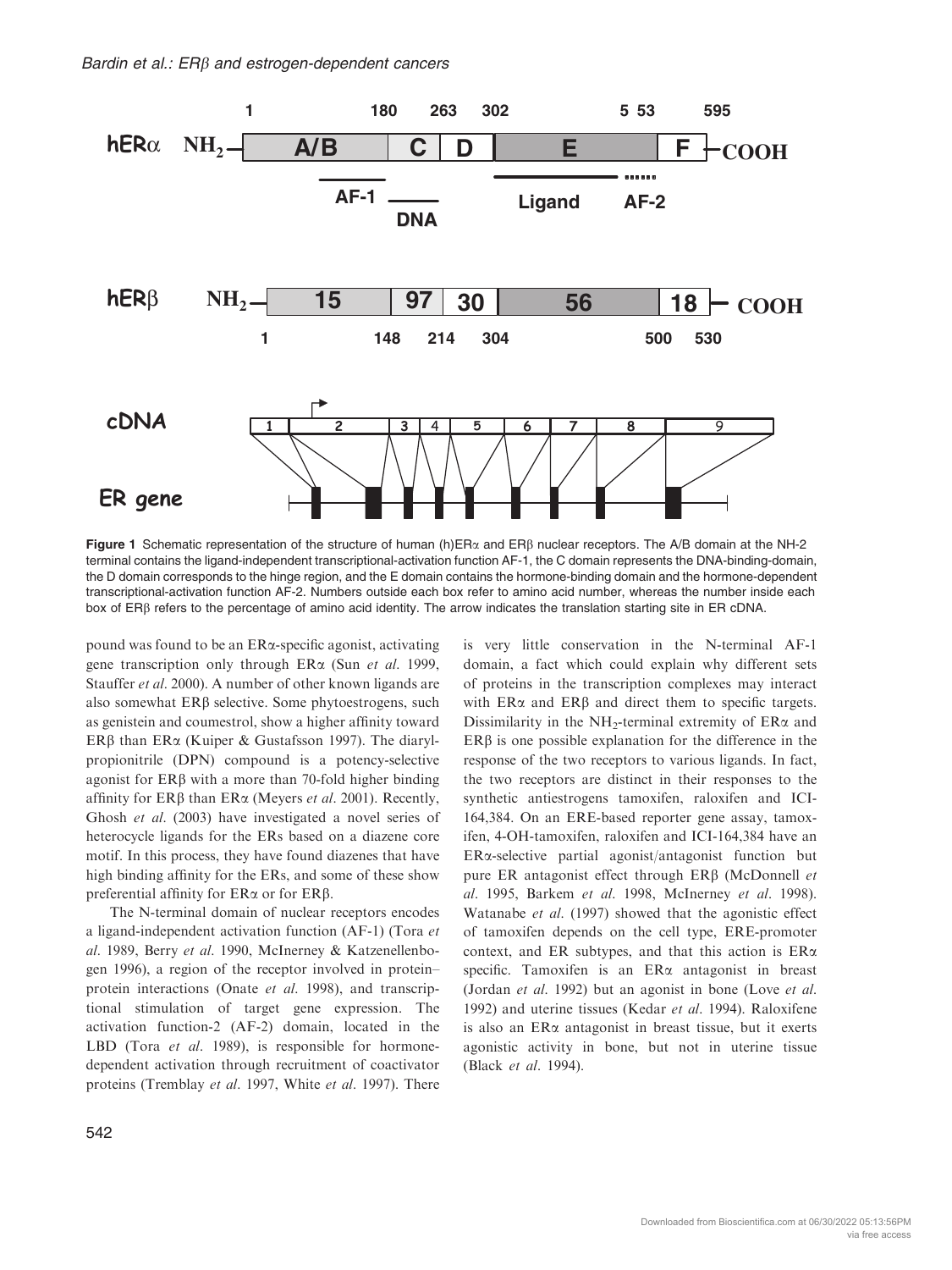

Figure 1 Schematic representation of the structure of human (h) ER $\alpha$  and ER $\beta$  nuclear receptors. The A/B domain at the NH-2 terminal contains the ligand-independent transcriptional-activation function AF-1, the C domain represents the DNA-binding-domain, the D domain corresponds to the hinge region, and the E domain contains the hormone-binding domain and the hormone-dependent transcriptional-activation function AF-2. Numbers outside each box refer to amino acid number, whereas the number inside each box of ERb refers to the percentage of amino acid identity. The arrow indicates the translation starting site in ER cDNA.

pound was found to be an ERa-specific agonist, activating gene transcription only through  $ER\alpha$  (Sun *et al.* 1999, Stauffer et al. 2000). A number of other known ligands are also somewhat  $ER\beta$  selective. Some phytoestrogens, such as genistein and coumestrol, show a higher affinity toward ER $\beta$  than ER $\alpha$  (Kuiper & Gustafsson 1997). The diarylpropionitrile (DPN) compound is a potency-selective agonist for  $ER\beta$  with a more than 70-fold higher binding affinity for  $ER\beta$  than  $ER\alpha$  (Meyers *et al.* 2001). Recently, Ghosh et al. (2003) have investigated a novel series of heterocycle ligands for the ERs based on a diazene core motif. In this process, they have found diazenes that have high binding affinity for the ERs, and some of these show preferential affinity for  $ER\alpha$  or for  $ER\beta$ .

The N-terminal domain of nuclear receptors encodes a ligand-independent activation function (AF-1) (Tora et al. 1989, Berry et al. 1990, McInerney & Katzenellenbogen 1996), a region of the receptor involved in protein– protein interactions (Onate et al. 1998), and transcriptional stimulation of target gene expression. The activation function-2 (AF-2) domain, located in the LBD (Tora et al. 1989), is responsible for hormonedependent activation through recruitment of coactivator proteins (Tremblay et al. 1997, White et al. 1997). There

542

is very little conservation in the N-terminal AF-1 domain, a fact which could explain why different sets of proteins in the transcription complexes may interact with  $ER\alpha$  and  $ER\beta$  and direct them to specific targets. Dissimilarity in the NH<sub>2</sub>-terminal extremity of ER $\alpha$  and  $ER\beta$  is one possible explanation for the difference in the response of the two receptors to various ligands. In fact, the two receptors are distinct in their responses to the synthetic antiestrogens tamoxifen, raloxifen and ICI-164,384. On an ERE-based reporter gene assay, tamoxifen, 4-OH-tamoxifen, raloxifen and ICI-164,384 have an ERa-selective partial agonist/antagonist function but pure ER antagonist effect through  $ER\beta$  (McDonnell et al. 1995, Barkem et al. 1998, McInerney et al. 1998). Watanabe et al. (1997) showed that the agonistic effect of tamoxifen depends on the cell type, ERE-promoter context, and ER subtypes, and that this action is  $ER\alpha$ specific. Tamoxifen is an  $ER\alpha$  antagonist in breast (Jordan et al. 1992) but an agonist in bone (Love et al. 1992) and uterine tissues (Kedar et al. 1994). Raloxifene is also an  $ER\alpha$  antagonist in breast tissue, but it exerts agonistic activity in bone, but not in uterine tissue (Black et al. 1994).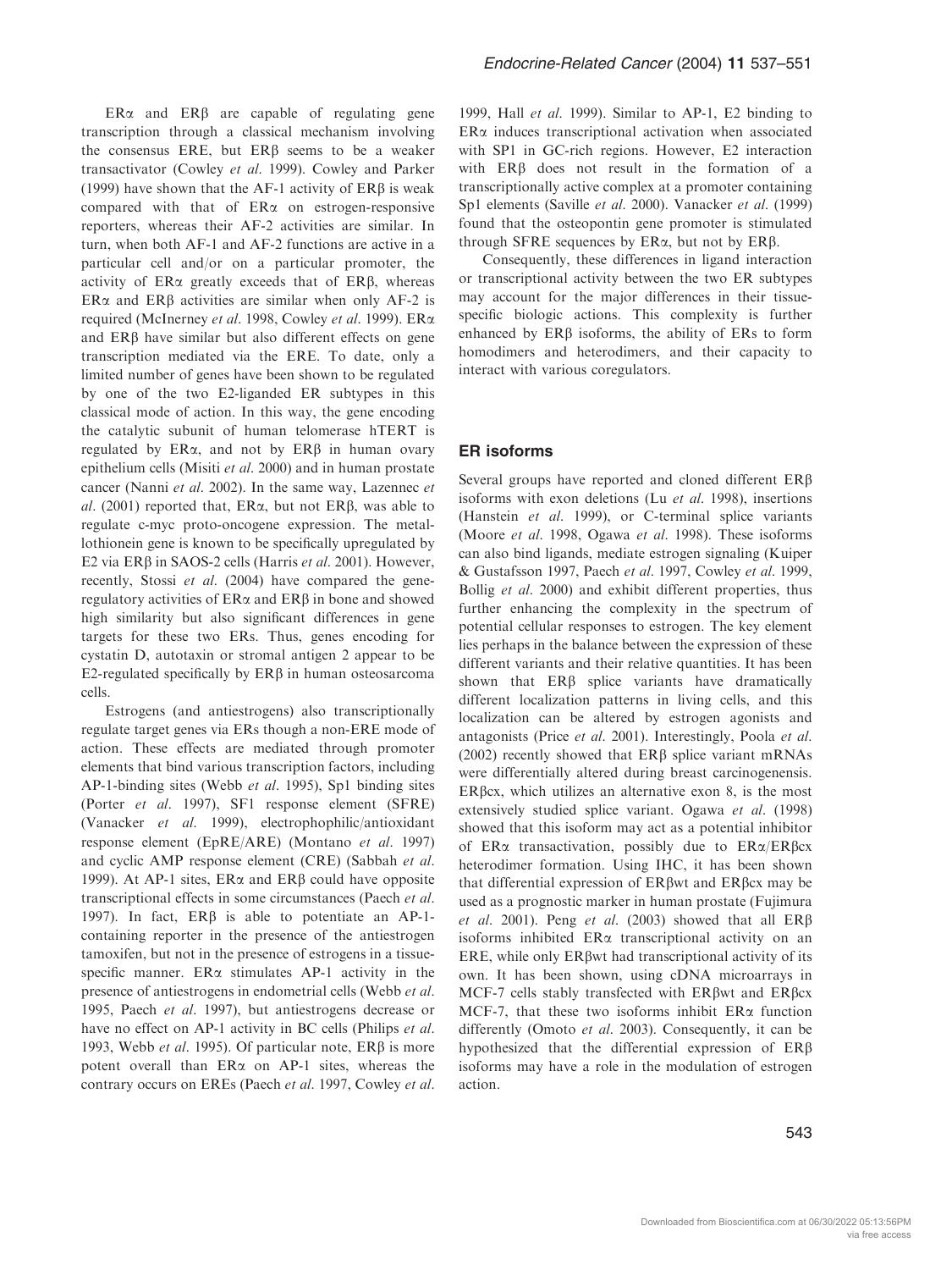$ER\alpha$  and  $ER\beta$  are capable of regulating gene transcription through a classical mechanism involving the consensus ERE, but  $ER\beta$  seems to be a weaker transactivator (Cowley et al. 1999). Cowley and Parker (1999) have shown that the AF-1 activity of  $ER\beta$  is weak compared with that of  $ER\alpha$  on estrogen-responsive reporters, whereas their AF-2 activities are similar. In turn, when both AF-1 and AF-2 functions are active in a particular cell and/or on a particular promoter, the activity of  $ER\alpha$  greatly exceeds that of  $ER\beta$ , whereas  $ER\alpha$  and  $ER\beta$  activities are similar when only AF-2 is required (McInerney et al. 1998, Cowley et al. 1999). ERa and  $ER\beta$  have similar but also different effects on gene transcription mediated via the ERE. To date, only a limited number of genes have been shown to be regulated by one of the two E2-liganded ER subtypes in this classical mode of action. In this way, the gene encoding the catalytic subunit of human telomerase hTERT is regulated by  $ER\alpha$ , and not by  $ER\beta$  in human ovary epithelium cells (Misiti et al. 2000) and in human prostate cancer (Nanni et al. 2002). In the same way, Lazennec et al. (2001) reported that,  $ER\alpha$ , but not  $ER\beta$ , was able to regulate c-myc proto-oncogene expression. The metallothionein gene is known to be specifically upregulated by E2 via ER $\beta$  in SAOS-2 cells (Harris et al. 2001). However, recently, Stossi et al. (2004) have compared the generegulatory activities of  $ER\alpha$  and  $ER\beta$  in bone and showed high similarity but also significant differences in gene targets for these two ERs. Thus, genes encoding for cystatin D, autotaxin or stromal antigen 2 appear to be  $E2$ -regulated specifically by  $ER\beta$  in human osteosarcoma cells.

Estrogens (and antiestrogens) also transcriptionally regulate target genes via ERs though a non-ERE mode of action. These effects are mediated through promoter elements that bind various transcription factors, including AP-1-binding sites (Webb et al. 1995), Sp1 binding sites (Porter et al. 1997), SF1 response element (SFRE) (Vanacker et al. 1999), electrophophilic/antioxidant response element (EpRE/ARE) (Montano et al. 1997) and cyclic AMP response element (CRE) (Sabbah et al. 1999). At AP-1 sites,  $ER\alpha$  and  $ER\beta$  could have opposite transcriptional effects in some circumstances (Paech et al. 1997). In fact,  $ER\beta$  is able to potentiate an AP-1containing reporter in the presence of the antiestrogen tamoxifen, but not in the presence of estrogens in a tissuespecific manner.  $ER\alpha$  stimulates AP-1 activity in the presence of antiestrogens in endometrial cells (Webb et al. 1995, Paech et al. 1997), but antiestrogens decrease or have no effect on AP-1 activity in BC cells (Philips et al. 1993, Webb et al. 1995). Of particular note,  $ER\beta$  is more potent overall than  $ER\alpha$  on AP-1 sites, whereas the contrary occurs on EREs (Paech et al. 1997, Cowley et al.

1999, Hall et al. 1999). Similar to AP-1, E2 binding to  $ER\alpha$  induces transcriptional activation when associated with SP1 in GC-rich regions. However, E2 interaction with  $ER\beta$  does not result in the formation of a transcriptionally active complex at a promoter containing Sp1 elements (Saville et al. 2000). Vanacker et al. (1999) found that the osteopontin gene promoter is stimulated through SFRE sequences by  $ER\alpha$ , but not by  $ER\beta$ .

Consequently, these differences in ligand interaction or transcriptional activity between the two ER subtypes may account for the major differences in their tissuespecific biologic actions. This complexity is further enhanced by  $ER\beta$  isoforms, the ability of ERs to form homodimers and heterodimers, and their capacity to interact with various coregulators.

#### ER isoforms

Several groups have reported and cloned different ERB isoforms with exon deletions (Lu et al. 1998), insertions (Hanstein et al. 1999), or C-terminal splice variants (Moore et al. 1998, Ogawa et al. 1998). These isoforms can also bind ligands, mediate estrogen signaling (Kuiper & Gustafsson 1997, Paech et al. 1997, Cowley et al. 1999, Bollig et al. 2000) and exhibit different properties, thus further enhancing the complexity in the spectrum of potential cellular responses to estrogen. The key element lies perhaps in the balance between the expression of these different variants and their relative quantities. It has been shown that ERB splice variants have dramatically different localization patterns in living cells, and this localization can be altered by estrogen agonists and antagonists (Price et al. 2001). Interestingly, Poola et al. (2002) recently showed that  $ER\beta$  splice variant mRNAs were differentially altered during breast carcinogenensis.  $ER\beta$ cx, which utilizes an alternative exon 8, is the most extensively studied splice variant. Ogawa et al. (1998) showed that this isoform may act as a potential inhibitor of ER $\alpha$  transactivation, possibly due to ER $\alpha$ /ER $\beta$ cx heterodimer formation. Using IHC, it has been shown that differential expression of  $ER\beta$ wt and  $ER\beta$ cx may be used as a prognostic marker in human prostate (Fujimura et al. 2001). Peng et al. (2003) showed that all  $ER\beta$ isoforms inhibited  $ER\alpha$  transcriptional activity on an ERE, while only  $ER\beta$  wt had transcriptional activity of its own. It has been shown, using cDNA microarrays in MCF-7 cells stably transfected with ERBwt and ERBcx MCF-7, that these two isoforms inhibit  $ER\alpha$  function differently (Omoto *et al.* 2003). Consequently, it can be hypothesized that the differential expression of ERb isoforms may have a role in the modulation of estrogen action.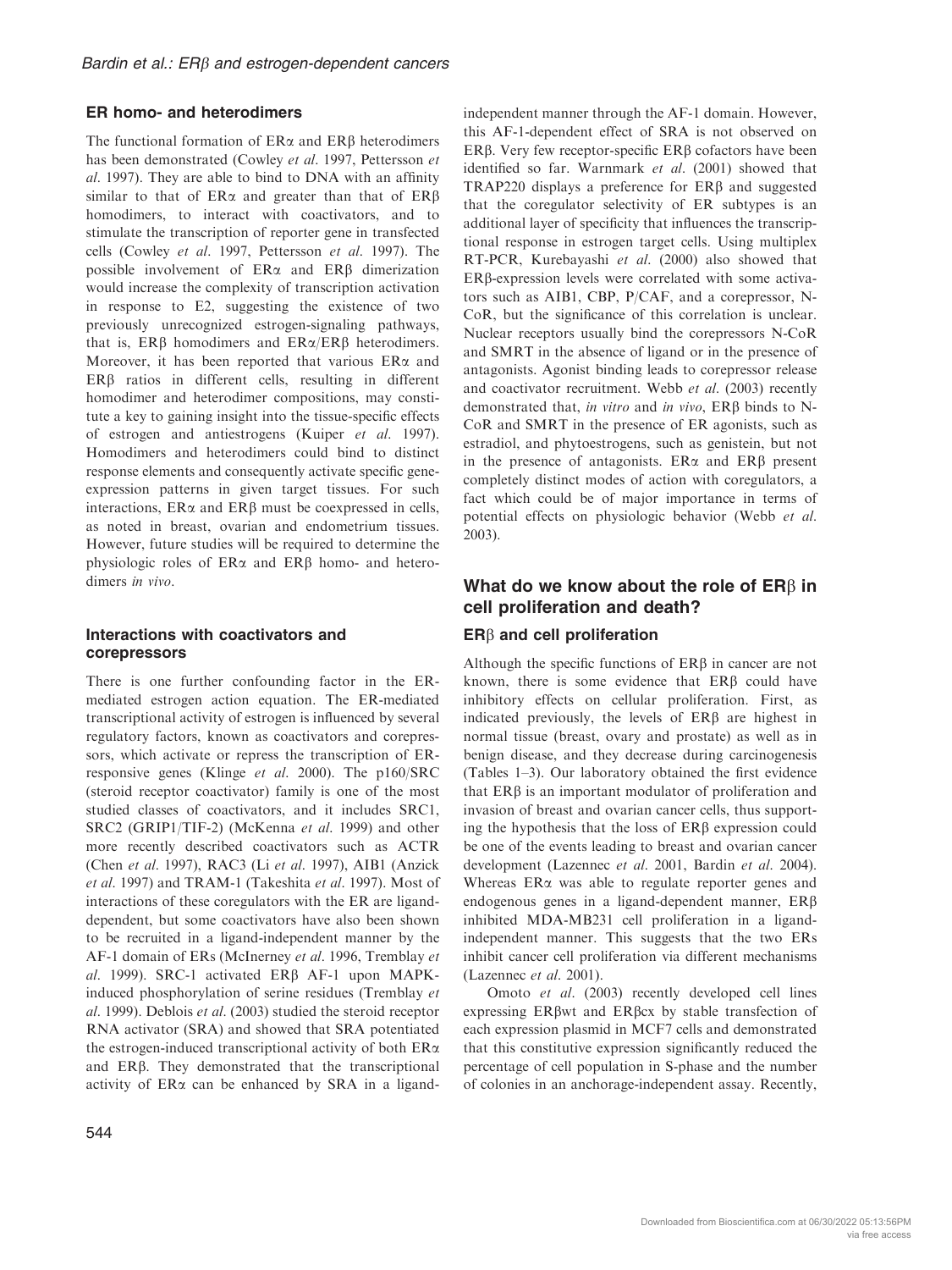## ER homo- and heterodimers

The functional formation of  $ER\alpha$  and  $ER\beta$  heterodimers has been demonstrated (Cowley et al. 1997, Pettersson et al. 1997). They are able to bind to DNA with an affinity similar to that of  $ER\alpha$  and greater than that of  $ER\beta$ homodimers, to interact with coactivators, and to stimulate the transcription of reporter gene in transfected cells (Cowley et al. 1997, Pettersson et al. 1997). The possible involvement of  $ER\alpha$  and  $ER\beta$  dimerization would increase the complexity of transcription activation in response to E2, suggesting the existence of two previously unrecognized estrogen-signaling pathways, that is,  $ER\beta$  homodimers and  $ER\alpha/ER\beta$  heterodimers. Moreover, it has been reported that various  $ER\alpha$  and  $ER\beta$  ratios in different cells, resulting in different homodimer and heterodimer compositions, may constitute a key to gaining insight into the tissue-specific effects of estrogen and antiestrogens (Kuiper et al. 1997). Homodimers and heterodimers could bind to distinct response elements and consequently activate specific geneexpression patterns in given target tissues. For such interactions,  $ER\alpha$  and  $ER\beta$  must be coexpressed in cells, as noted in breast, ovarian and endometrium tissues. However, future studies will be required to determine the physiologic roles of  $ER\alpha$  and  $ER\beta$  homo- and heterodimers in vivo.

## Interactions with coactivators and corepressors

There is one further confounding factor in the ERmediated estrogen action equation. The ER-mediated transcriptional activity of estrogen is influenced by several regulatory factors, known as coactivators and corepressors, which activate or repress the transcription of ERresponsive genes (Klinge et al. 2000). The p160/SRC (steroid receptor coactivator) family is one of the most studied classes of coactivators, and it includes SRC1, SRC2 (GRIP1/TIF-2) (McKenna et al. 1999) and other more recently described coactivators such as ACTR (Chen et al. 1997), RAC3 (Li et al. 1997), AIB1 (Anzick et al. 1997) and TRAM-1 (Takeshita et al. 1997). Most of interactions of these coregulators with the ER are liganddependent, but some coactivators have also been shown to be recruited in a ligand-independent manner by the AF-1 domain of ERs (McInerney et al. 1996, Tremblay et al. 1999). SRC-1 activated ERB AF-1 upon MAPKinduced phosphorylation of serine residues (Tremblay et al. 1999). Deblois et al. (2003) studied the steroid receptor RNA activator (SRA) and showed that SRA potentiated the estrogen-induced transcriptional activity of both ERa and ERb. They demonstrated that the transcriptional activity of  $ER\alpha$  can be enhanced by SRA in a ligandindependent manner through the AF-1 domain. However, this AF-1-dependent effect of SRA is not observed on ER $\beta$ . Very few receptor-specific ER $\beta$  cofactors have been identified so far. Warnmark et al. (2001) showed that TRAP220 displays a preference for ERB and suggested that the coregulator selectivity of ER subtypes is an additional layer of specificity that influences the transcriptional response in estrogen target cells. Using multiplex RT-PCR, Kurebayashi et al. (2000) also showed that  $ER\beta$ -expression levels were correlated with some activators such as AIB1, CBP, P/CAF, and a corepressor, N-CoR, but the significance of this correlation is unclear. Nuclear receptors usually bind the corepressors N-CoR and SMRT in the absence of ligand or in the presence of antagonists. Agonist binding leads to corepressor release and coactivator recruitment. Webb et al. (2003) recently demonstrated that, in vitro and in vivo,  $ER\beta$  binds to N-CoR and SMRT in the presence of ER agonists, such as estradiol, and phytoestrogens, such as genistein, but not in the presence of antagonists.  $ER\alpha$  and  $ER\beta$  present completely distinct modes of action with coregulators, a fact which could be of major importance in terms of potential effects on physiologic behavior (Webb et al. 2003).

# What do we know about the role of  $ER\beta$  in cell proliferation and death?

# $ER\beta$  and cell proliferation

Although the specific functions of ERB in cancer are not known, there is some evidence that ERB could have inhibitory effects on cellular proliferation. First, as indicated previously, the levels of  $ER\beta$  are highest in normal tissue (breast, ovary and prostate) as well as in benign disease, and they decrease during carcinogenesis (Tables 1–3). Our laboratory obtained the first evidence that  $ER\beta$  is an important modulator of proliferation and invasion of breast and ovarian cancer cells, thus supporting the hypothesis that the loss of  $ER\beta$  expression could be one of the events leading to breast and ovarian cancer development (Lazennec et al. 2001, Bardin et al. 2004). Whereas  $ER\alpha$  was able to regulate reporter genes and endogenous genes in a ligand-dependent manner,  $ER\beta$ inhibited MDA-MB231 cell proliferation in a ligandindependent manner. This suggests that the two ERs inhibit cancer cell proliferation via different mechanisms (Lazennec et al. 2001).

Omoto et al. (2003) recently developed cell lines expressing ERbwt and ERbcx by stable transfection of each expression plasmid in MCF7 cells and demonstrated that this constitutive expression significantly reduced the percentage of cell population in S-phase and the number of colonies in an anchorage-independent assay. Recently,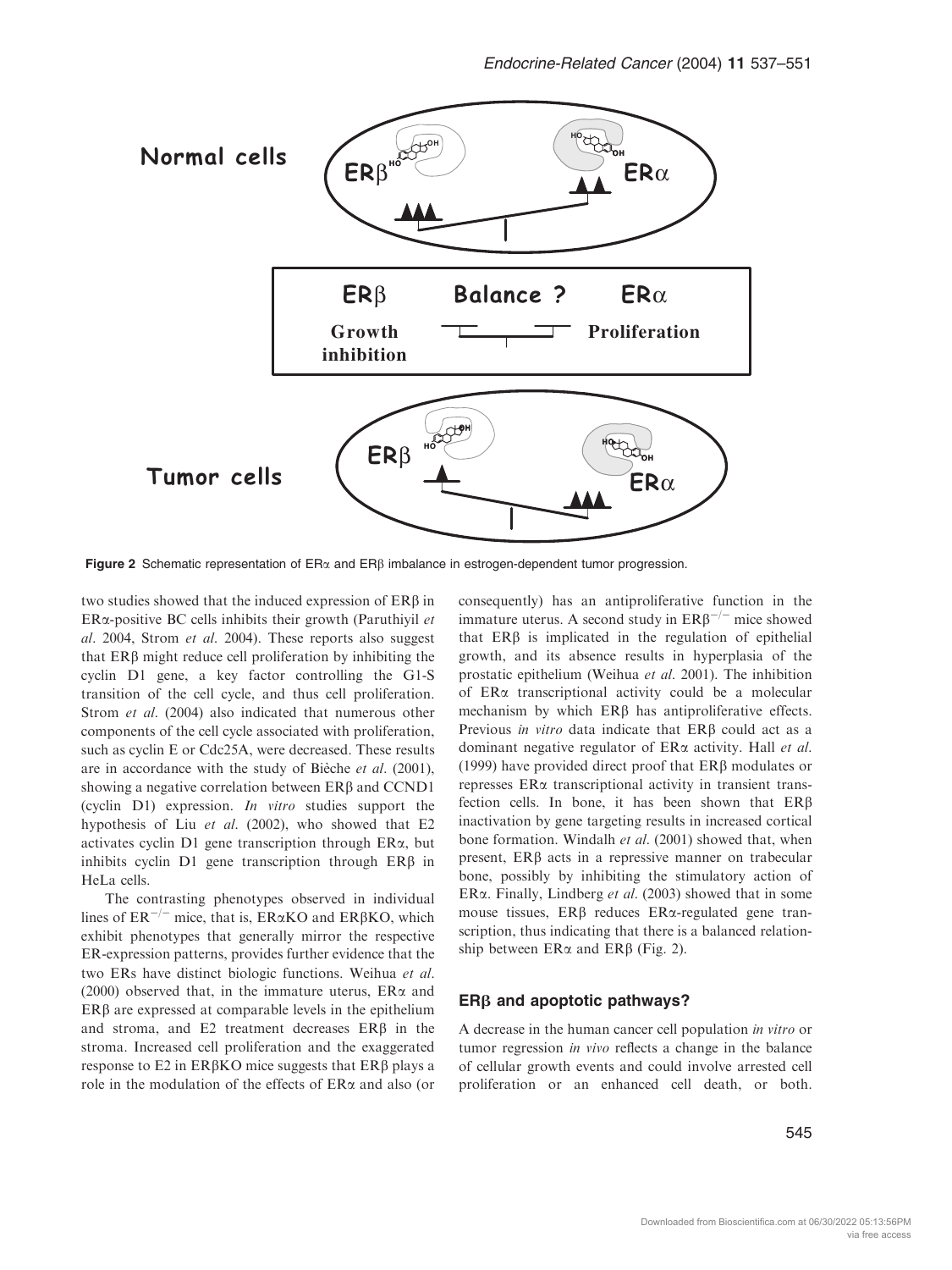

Figure 2 Schematic representation of  $ER\alpha$  and  $ER\beta$  imbalance in estrogen-dependent tumor progression.

two studies showed that the induced expression of ERb in  $ER\alpha$ -positive BC cells inhibits their growth (Paruthiyil et al. 2004, Strom et al. 2004). These reports also suggest that  $ER\beta$  might reduce cell proliferation by inhibiting the cyclin D1 gene, a key factor controlling the G1-S transition of the cell cycle, and thus cell proliferation. Strom et al. (2004) also indicated that numerous other components of the cell cycle associated with proliferation, such as cyclin E or Cdc25A, were decreased. These results are in accordance with the study of Bieche et al.  $(2001)$ , showing a negative correlation between ERB and CCND1 (cyclin D1) expression. In vitro studies support the hypothesis of Liu et al.  $(2002)$ , who showed that E2 activates cyclin D1 gene transcription through ERa, but inhibits cyclin  $D1$  gene transcription through  $ER\beta$  in HeLa cells.

The contrasting phenotypes observed in individual lines of  $ER^{-/-}$  mice, that is,  $ER\alpha KO$  and  $ER\beta KO$ , which exhibit phenotypes that generally mirror the respective ER-expression patterns, provides further evidence that the two ERs have distinct biologic functions. Weihua et al. (2000) observed that, in the immature uterus,  $ER\alpha$  and  $ER\beta$  are expressed at comparable levels in the epithelium and stroma, and  $E2$  treatment decreases  $ER\beta$  in the stroma. Increased cell proliferation and the exaggerated response to  $E2$  in ER $\beta$ KO mice suggests that ER $\beta$  plays a role in the modulation of the effects of  $ER\alpha$  and also (or consequently) has an antiproliferative function in the immature uterus. A second study in  $ER\beta^{-/-}$  mice showed that  $ER\beta$  is implicated in the regulation of epithelial growth, and its absence results in hyperplasia of the prostatic epithelium (Weihua et al. 2001). The inhibition of ERa transcriptional activity could be a molecular mechanism by which ERB has antiproliferative effects. Previous in vitro data indicate that  $ER\beta$  could act as a dominant negative regulator of  $ER\alpha$  activity. Hall *et al.* (1999) have provided direct proof that  $ER\beta$  modulates or represses ERa transcriptional activity in transient transfection cells. In bone, it has been shown that  $ER\beta$ inactivation by gene targeting results in increased cortical bone formation. Windalh et al. (2001) showed that, when present,  $ER\beta$  acts in a repressive manner on trabecular bone, possibly by inhibiting the stimulatory action of ER $\alpha$ . Finally, Lindberg *et al.* (2003) showed that in some mouse tissues,  $ER\beta$  reduces  $ER\alpha$ -regulated gene transcription, thus indicating that there is a balanced relationship between  $ER\alpha$  and  $ER\beta$  (Fig. 2).

#### $ER\beta$  and apoptotic pathways?

A decrease in the human cancer cell population in vitro or tumor regression in vivo reflects a change in the balance of cellular growth events and could involve arrested cell proliferation or an enhanced cell death, or both.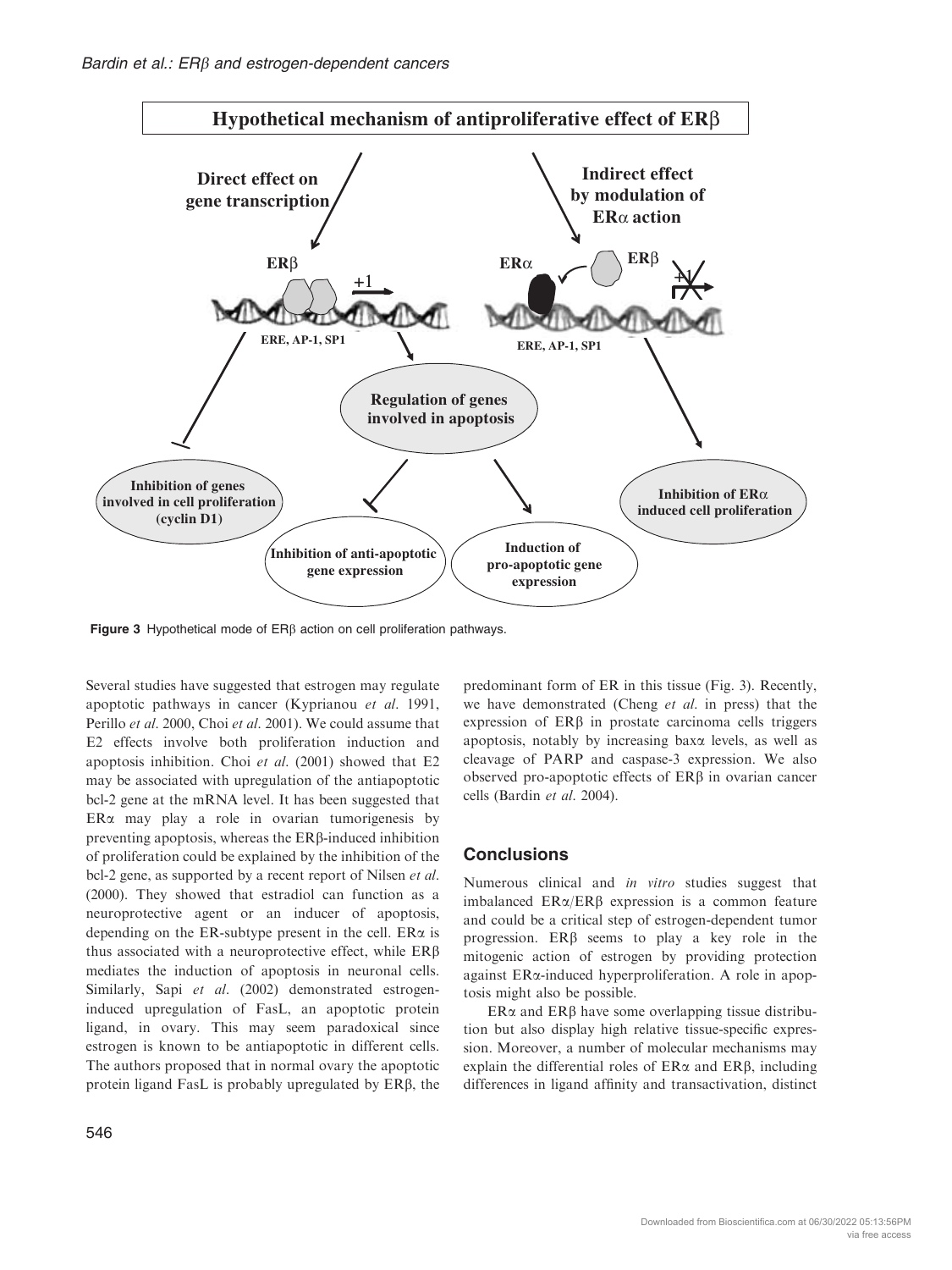

Figure 3 Hypothetical mode of ER<sub>B</sub> action on cell proliferation pathways.

Several studies have suggested that estrogen may regulate apoptotic pathways in cancer (Kyprianou et al. 1991, Perillo et al. 2000, Choi et al. 2001). We could assume that E2 effects involve both proliferation induction and apoptosis inhibition. Choi et al. (2001) showed that E2 may be associated with upregulation of the antiapoptotic bcl-2 gene at the mRNA level. It has been suggested that  $ER\alpha$  may play a role in ovarian tumorigenesis by preventing apoptosis, whereas the  $ER\beta$ -induced inhibition of proliferation could be explained by the inhibition of the bcl-2 gene, as supported by a recent report of Nilsen et al. (2000). They showed that estradiol can function as a neuroprotective agent or an inducer of apoptosis, depending on the ER-subtype present in the cell.  $ER\alpha$  is thus associated with a neuroprotective effect, while  $ER\beta$ mediates the induction of apoptosis in neuronal cells. Similarly, Sapi et al. (2002) demonstrated estrogeninduced upregulation of FasL, an apoptotic protein ligand, in ovary. This may seem paradoxical since estrogen is known to be antiapoptotic in different cells. The authors proposed that in normal ovary the apoptotic protein ligand FasL is probably upregulated by  $ER\beta$ , the

predominant form of ER in this tissue (Fig. 3). Recently, we have demonstrated (Cheng et al. in press) that the expression of  $ER\beta$  in prostate carcinoma cells triggers apoptosis, notably by increasing baxa levels, as well as cleavage of PARP and caspase-3 expression. We also observed pro-apoptotic effects of ERb in ovarian cancer cells (Bardin et al. 2004).

## **Conclusions**

Numerous clinical and *in vitro* studies suggest that imbalanced  $ER\alpha/ER\beta$  expression is a common feature and could be a critical step of estrogen-dependent tumor progression.  $ER\beta$  seems to play a key role in the mitogenic action of estrogen by providing protection against ERa-induced hyperproliferation. A role in apoptosis might also be possible.

 $ER\alpha$  and  $ER\beta$  have some overlapping tissue distribution but also display high relative tissue-specific expression. Moreover, a number of molecular mechanisms may explain the differential roles of  $ER\alpha$  and  $ER\beta$ , including differences in ligand affinity and transactivation, distinct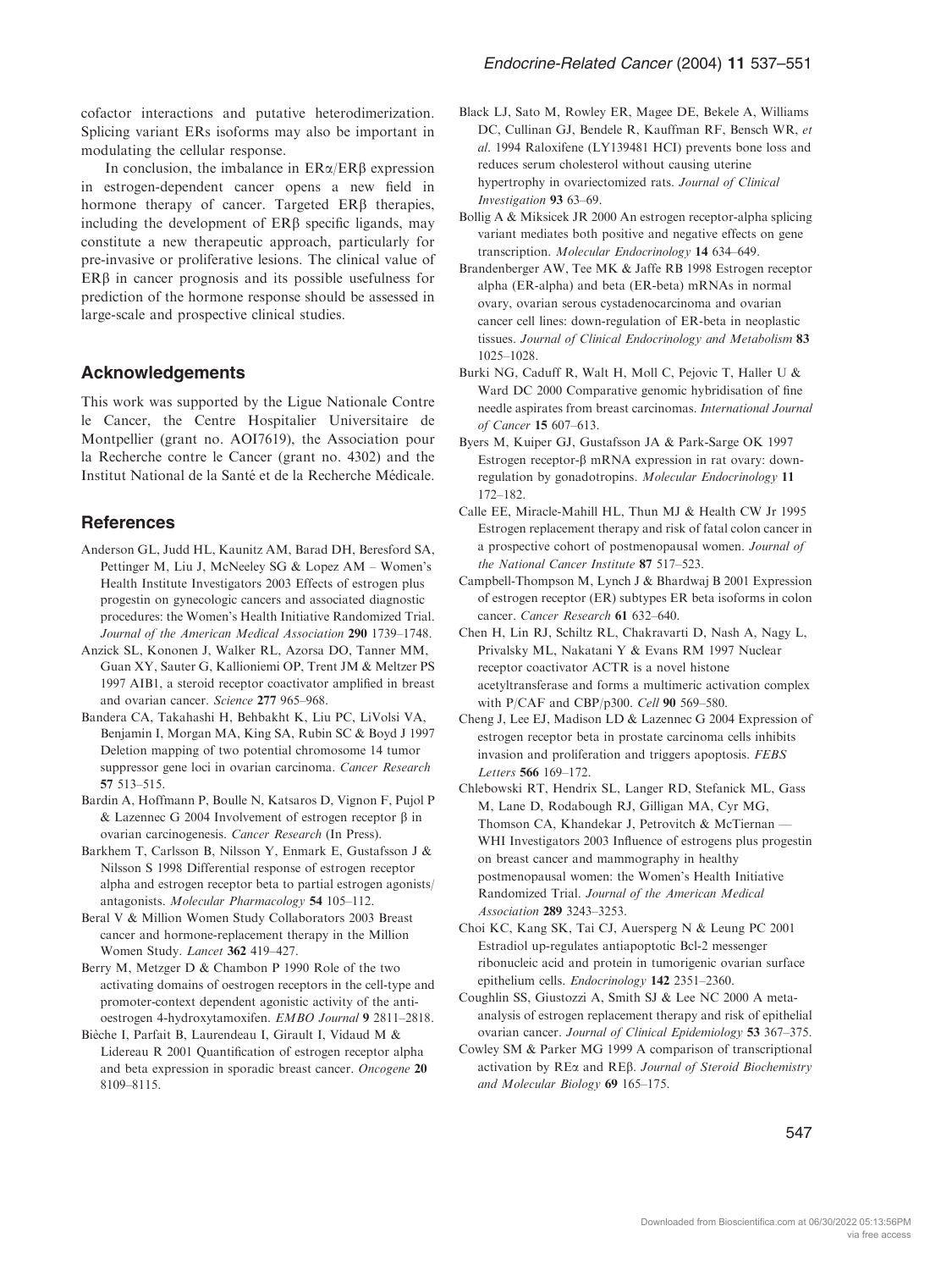cofactor interactions and putative heterodimerization. Splicing variant ERs isoforms may also be important in modulating the cellular response.

In conclusion, the imbalance in  $ER\alpha/ER\beta$  expression in estrogen-dependent cancer opens a new field in hormone therapy of cancer. Targeted  $ER\beta$  therapies, including the development of  $ER\beta$  specific ligands, may constitute a new therapeutic approach, particularly for pre-invasive or proliferative lesions. The clinical value of  $ER\beta$  in cancer prognosis and its possible usefulness for prediction of the hormone response should be assessed in large-scale and prospective clinical studies.

## Acknowledgements

This work was supported by the Ligue Nationale Contre le Cancer, the Centre Hospitalier Universitaire de Montpellier (grant no. AOI7619), the Association pour la Recherche contre le Cancer (grant no. 4302) and the Institut National de la Santé et de la Recherche Médicale.

## **References**

- Anderson GL, Judd HL, Kaunitz AM, Barad DH, Beresford SA, Pettinger M, Liu J, McNeeley SG & Lopez AM – Women's Health Institute Investigators 2003 Effects of estrogen plus progestin on gynecologic cancers and associated diagnostic procedures: the Women's Health Initiative Randomized Trial. Journal of the American Medical Association 290 1739–1748.
- Anzick SL, Kononen J, Walker RL, Azorsa DO, Tanner MM, Guan XY, Sauter G, Kallioniemi OP, Trent JM & Meltzer PS 1997 AIB1, a steroid receptor coactivator amplified in breast and ovarian cancer. Science 277 965–968.
- Bandera CA, Takahashi H, Behbakht K, Liu PC, LiVolsi VA, Benjamin I, Morgan MA, King SA, Rubin SC & Boyd J 1997 Deletion mapping of two potential chromosome 14 tumor suppressor gene loci in ovarian carcinoma. Cancer Research 57 513–515.
- Bardin A, Hoffmann P, Boulle N, Katsaros D, Vignon F, Pujol P & Lazennec G 2004 Involvement of estrogen receptor b in ovarian carcinogenesis. Cancer Research (In Press).
- Barkhem T, Carlsson B, Nilsson Y, Enmark E, Gustafsson J & Nilsson S 1998 Differential response of estrogen receptor alpha and estrogen receptor beta to partial estrogen agonists/ antagonists. Molecular Pharmacology 54 105–112.
- Beral V & Million Women Study Collaborators 2003 Breast cancer and hormone-replacement therapy in the Million Women Study. Lancet 362 419–427.
- Berry M, Metzger D & Chambon P 1990 Role of the two activating domains of oestrogen receptors in the cell-type and promoter-context dependent agonistic activity of the antioestrogen 4-hydroxytamoxifen. EMBO Journal 9 2811–2818.
- Bièche I, Parfait B, Laurendeau I, Girault I, Vidaud M & Lidereau R 2001 Quantification of estrogen receptor alpha and beta expression in sporadic breast cancer. Oncogene 20 8109–8115.
- Black LJ, Sato M, Rowley ER, Magee DE, Bekele A, Williams DC, Cullinan GJ, Bendele R, Kauffman RF, Bensch WR, et al. 1994 Raloxifene (LY139481 HCI) prevents bone loss and reduces serum cholesterol without causing uterine hypertrophy in ovariectomized rats. Journal of Clinical Investigation 93 63–69.
- Bollig A & Miksicek JR 2000 An estrogen receptor-alpha splicing variant mediates both positive and negative effects on gene transcription. Molecular Endocrinology 14 634–649.
- Brandenberger AW, Tee MK & Jaffe RB 1998 Estrogen receptor alpha (ER-alpha) and beta (ER-beta) mRNAs in normal ovary, ovarian serous cystadenocarcinoma and ovarian cancer cell lines: down-regulation of ER-beta in neoplastic tissues. Journal of Clinical Endocrinology and Metabolism 83 1025–1028.
- Burki NG, Caduff R, Walt H, Moll C, Pejovic T, Haller U & Ward DC 2000 Comparative genomic hybridisation of fine needle aspirates from breast carcinomas. International Journal of Cancer 15 607–613.
- Byers M, Kuiper GJ, Gustafsson JA & Park-Sarge OK 1997 Estrogen receptor- $\beta$  mRNA expression in rat ovary: downregulation by gonadotropins. Molecular Endocrinology 11 172–182.
- Calle EE, Miracle-Mahill HL, Thun MJ & Health CW Jr 1995 Estrogen replacement therapy and risk of fatal colon cancer in a prospective cohort of postmenopausal women. Journal of the National Cancer Institute 87 517–523.
- Campbell-Thompson M, Lynch J & Bhardwaj B 2001 Expression of estrogen receptor (ER) subtypes ER beta isoforms in colon cancer. Cancer Research 61 632–640.
- Chen H, Lin RJ, Schiltz RL, Chakravarti D, Nash A, Nagy L, Privalsky ML, Nakatani Y & Evans RM 1997 Nuclear receptor coactivator ACTR is a novel histone acetyltransferase and forms a multimeric activation complex with P/CAF and CBP/p300. Cell 90 569–580.
- Cheng J, Lee EJ, Madison LD & Lazennec G 2004 Expression of estrogen receptor beta in prostate carcinoma cells inhibits invasion and proliferation and triggers apoptosis. FEBS Letters 566 169–172.
- Chlebowski RT, Hendrix SL, Langer RD, Stefanick ML, Gass M, Lane D, Rodabough RJ, Gilligan MA, Cyr MG, Thomson CA, Khandekar J, Petrovitch & McTiernan — WHI Investigators 2003 Influence of estrogens plus progestin on breast cancer and mammography in healthy postmenopausal women: the Women's Health Initiative Randomized Trial. Journal of the American Medical Association 289 3243–3253.
- Choi KC, Kang SK, Tai CJ, Auersperg N & Leung PC 2001 Estradiol up-regulates antiapoptotic Bcl-2 messenger ribonucleic acid and protein in tumorigenic ovarian surface epithelium cells. Endocrinology 142 2351–2360.
- Coughlin SS, Giustozzi A, Smith SJ & Lee NC 2000 A metaanalysis of estrogen replacement therapy and risk of epithelial ovarian cancer. Journal of Clinical Epidemiology 53 367–375.
- Cowley SM & Parker MG 1999 A comparison of transcriptional activation by REa and REb. Journal of Steroid Biochemistry and Molecular Biology 69 165–175.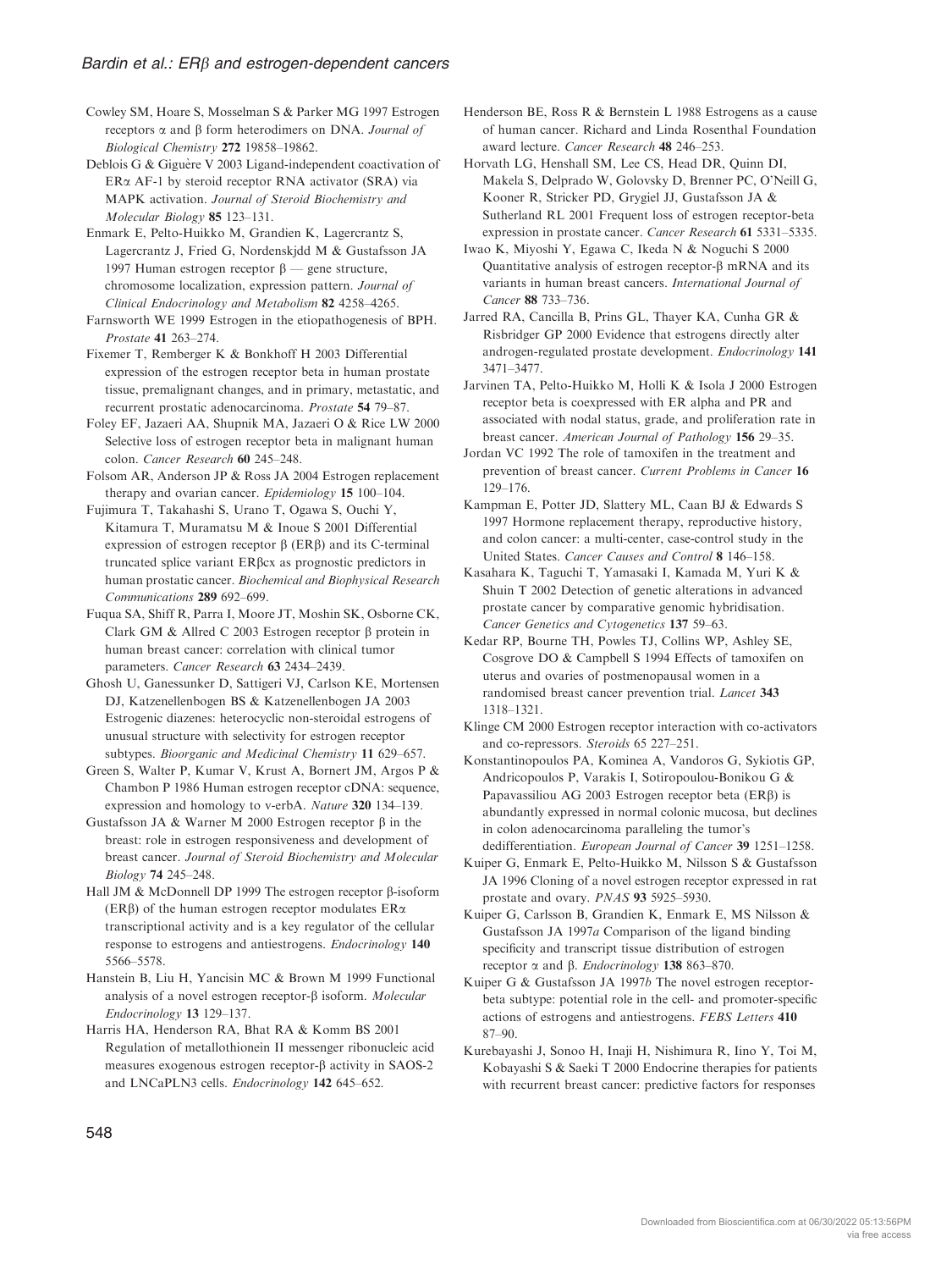Cowley SM, Hoare S, Mosselman S & Parker MG 1997 Estrogen receptors  $\alpha$  and  $\beta$  form heterodimers on DNA. *Journal of* Biological Chemistry 272 19858–19862.

Deblois G & Giguère V 2003 Ligand-independent coactivation of ERa AF-1 by steroid receptor RNA activator (SRA) via MAPK activation. Journal of Steroid Biochemistry and Molecular Biology 85 123–131.

Enmark E, Pelto-Huikko M, Grandien K, Lagercrantz S, Lagercrantz J, Fried G, Nordenskjdd M & Gustafsson JA 1997 Human estrogen receptor  $\beta$  — gene structure, chromosome localization, expression pattern. Journal of Clinical Endocrinology and Metabolism 82 4258–4265.

Farnsworth WE 1999 Estrogen in the etiopathogenesis of BPH. Prostate 41 263–274.

Fixemer T, Remberger K & Bonkhoff H 2003 Differential expression of the estrogen receptor beta in human prostate tissue, premalignant changes, and in primary, metastatic, and recurrent prostatic adenocarcinoma. Prostate 54 79–87.

Foley EF, Jazaeri AA, Shupnik MA, Jazaeri O & Rice LW 2000 Selective loss of estrogen receptor beta in malignant human colon. Cancer Research 60 245–248.

Folsom AR, Anderson JP & Ross JA 2004 Estrogen replacement therapy and ovarian cancer. Epidemiology 15 100-104.

Fujimura T, Takahashi S, Urano T, Ogawa S, Ouchi Y, Kitamura T, Muramatsu M & Inoue S 2001 Differential expression of estrogen receptor  $\beta$  (ER $\beta$ ) and its C-terminal truncated splice variant ERbcx as prognostic predictors in human prostatic cancer. Biochemical and Biophysical Research Communications 289 692–699.

Fuqua SA, Shiff R, Parra I, Moore JT, Moshin SK, Osborne CK, Clark GM & Allred C 2003 Estrogen receptor  $\beta$  protein in human breast cancer: correlation with clinical tumor parameters. Cancer Research 63 2434–2439.

Ghosh U, Ganessunker D, Sattigeri VJ, Carlson KE, Mortensen DJ, Katzenellenbogen BS & Katzenellenbogen JA 2003 Estrogenic diazenes: heterocyclic non-steroidal estrogens of unusual structure with selectivity for estrogen receptor subtypes. Bioorganic and Medicinal Chemistry 11 629–657.

Green S, Walter P, Kumar V, Krust A, Bornert JM, Argos P & Chambon P 1986 Human estrogen receptor cDNA: sequence, expression and homology to v-erbA. Nature 320 134–139.

Gustafsson JA & Warner M 2000 Estrogen receptor B in the breast: role in estrogen responsiveness and development of breast cancer. Journal of Steroid Biochemistry and Molecular Biology 74 245–248.

Hall JM & McDonnell DP 1999 The estrogen receptor  $\beta$ -isoform ( $ER\beta$ ) of the human estrogen receptor modulates  $ER\alpha$ transcriptional activity and is a key regulator of the cellular response to estrogens and antiestrogens. Endocrinology 140 5566–5578.

Hanstein B, Liu H, Yancisin MC & Brown M 1999 Functional analysis of a novel estrogen receptor- $\beta$  isoform. Molecular Endocrinology 13 129–137.

Harris HA, Henderson RA, Bhat RA & Komm BS 2001 Regulation of metallothionein II messenger ribonucleic acid measures exogenous estrogen receptor- $\beta$  activity in SAOS-2 and LNCaPLN3 cells. Endocrinology 142 645–652.

Henderson BE, Ross R & Bernstein L 1988 Estrogens as a cause of human cancer. Richard and Linda Rosenthal Foundation award lecture. Cancer Research 48 246–253.

Horvath LG, Henshall SM, Lee CS, Head DR, Quinn DI, Makela S, Delprado W, Golovsky D, Brenner PC, O'Neill G, Kooner R, Stricker PD, Grygiel JJ, Gustafsson JA & Sutherland RL 2001 Frequent loss of estrogen receptor-beta expression in prostate cancer. Cancer Research 61 5331–5335.

Iwao K, Miyoshi Y, Egawa C, Ikeda N & Noguchi S 2000 Quantitative analysis of estrogen receptor- $\beta$  mRNA and its variants in human breast cancers. International Journal of Cancer 88 733–736.

Jarred RA, Cancilla B, Prins GL, Thayer KA, Cunha GR & Risbridger GP 2000 Evidence that estrogens directly alter androgen-regulated prostate development. Endocrinology 141 3471–3477.

Jarvinen TA, Pelto-Huikko M, Holli K & Isola J 2000 Estrogen receptor beta is coexpressed with ER alpha and PR and associated with nodal status, grade, and proliferation rate in breast cancer. American Journal of Pathology 156 29–35.

Jordan VC 1992 The role of tamoxifen in the treatment and prevention of breast cancer. Current Problems in Cancer 16 129–176.

Kampman E, Potter JD, Slattery ML, Caan BJ & Edwards S 1997 Hormone replacement therapy, reproductive history, and colon cancer: a multi-center, case-control study in the United States. Cancer Causes and Control 8 146–158.

Kasahara K, Taguchi T, Yamasaki I, Kamada M, Yuri K & Shuin T 2002 Detection of genetic alterations in advanced prostate cancer by comparative genomic hybridisation. Cancer Genetics and Cytogenetics 137 59–63.

Kedar RP, Bourne TH, Powles TJ, Collins WP, Ashley SE, Cosgrove DO & Campbell S 1994 Effects of tamoxifen on uterus and ovaries of postmenopausal women in a randomised breast cancer prevention trial. Lancet 343 1318–1321.

Klinge CM 2000 Estrogen receptor interaction with co-activators and co-repressors. Steroids 65 227–251.

Konstantinopoulos PA, Kominea A, Vandoros G, Sykiotis GP, Andricopoulos P, Varakis I, Sotiropoulou-Bonikou G & Papavassiliou AG 2003 Estrogen receptor beta  $(ER\beta)$  is abundantly expressed in normal colonic mucosa, but declines in colon adenocarcinoma paralleling the tumor's

dedifferentiation. European Journal of Cancer 39 1251–1258. Kuiper G, Enmark E, Pelto-Huikko M, Nilsson S & Gustafsson JA 1996 Cloning of a novel estrogen receptor expressed in rat prostate and ovary. PNAS 93 5925–5930.

Kuiper G, Carlsson B, Grandien K, Enmark E, MS Nilsson & Gustafsson JA 1997a Comparison of the ligand binding specificity and transcript tissue distribution of estrogen receptor  $\alpha$  and  $\beta$ . *Endocrinology* 138 863–870.

Kuiper G & Gustafsson JA 1997b The novel estrogen receptorbeta subtype: potential role in the cell- and promoter-specific actions of estrogens and antiestrogens. FEBS Letters 410 87–90.

Kurebayashi J, Sonoo H, Inaji H, Nishimura R, Iino Y, Toi M, Kobayashi S & Saeki T 2000 Endocrine therapies for patients with recurrent breast cancer: predictive factors for responses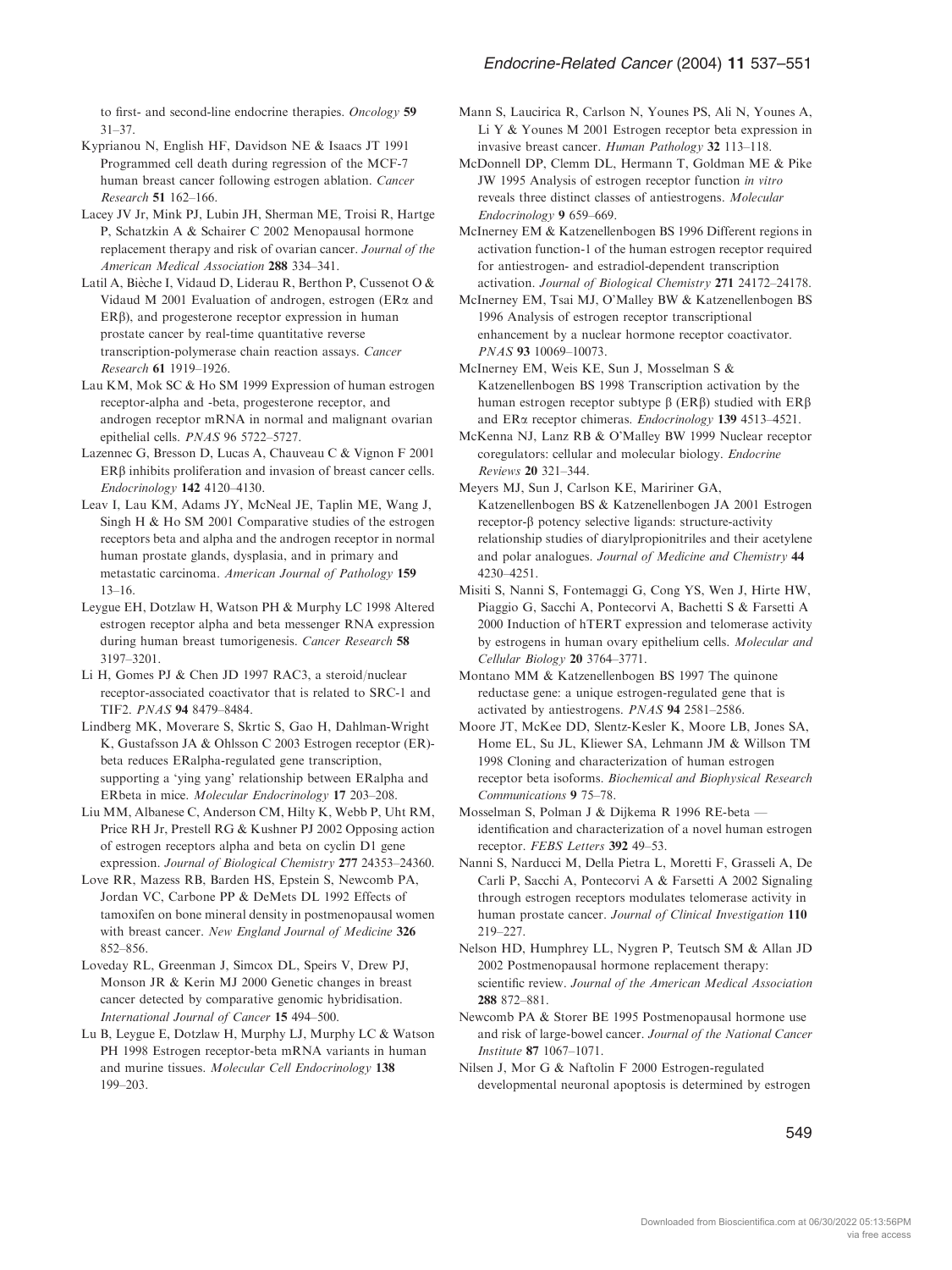to first- and second-line endocrine therapies. Oncology 59 31–37.

- Kyprianou N, English HF, Davidson NE & Isaacs JT 1991 Programmed cell death during regression of the MCF-7 human breast cancer following estrogen ablation. Cancer Research 51 162–166.
- Lacey JV Jr, Mink PJ, Lubin JH, Sherman ME, Troisi R, Hartge P, Schatzkin A & Schairer C 2002 Menopausal hormone replacement therapy and risk of ovarian cancer. Journal of the American Medical Association 288 334–341.
- Latil A, Bièche I, Vidaud D, Liderau R, Berthon P, Cussenot O & Vidaud M 2001 Evaluation of androgen, estrogen ( $ER\alpha$  and  $ER\beta$ ), and progesterone receptor expression in human prostate cancer by real-time quantitative reverse transcription-polymerase chain reaction assays. Cancer Research 61 1919–1926.
- Lau KM, Mok SC & Ho SM 1999 Expression of human estrogen receptor-alpha and -beta, progesterone receptor, and androgen receptor mRNA in normal and malignant ovarian epithelial cells. PNAS 96 5722–5727.
- Lazennec G, Bresson D, Lucas A, Chauveau C & Vignon F 2001  $ER\beta$  inhibits proliferation and invasion of breast cancer cells. Endocrinology 142 4120–4130.
- Leav I, Lau KM, Adams JY, McNeal JE, Taplin ME, Wang J, Singh H & Ho SM 2001 Comparative studies of the estrogen receptors beta and alpha and the androgen receptor in normal human prostate glands, dysplasia, and in primary and metastatic carcinoma. American Journal of Pathology 159 13–16.
- Leygue EH, Dotzlaw H, Watson PH & Murphy LC 1998 Altered estrogen receptor alpha and beta messenger RNA expression during human breast tumorigenesis. Cancer Research 58 3197–3201.
- Li H, Gomes PJ & Chen JD 1997 RAC3, a steroid/nuclear receptor-associated coactivator that is related to SRC-1 and TIF2. PNAS 94 8479–8484.
- Lindberg MK, Moverare S, Skrtic S, Gao H, Dahlman-Wright K, Gustafsson JA & Ohlsson C 2003 Estrogen receptor (ER) beta reduces ERalpha-regulated gene transcription, supporting a 'ying yang' relationship between ERalpha and ERbeta in mice. Molecular Endocrinology 17 203–208.
- Liu MM, Albanese C, Anderson CM, Hilty K, Webb P, Uht RM, Price RH Jr, Prestell RG & Kushner PJ 2002 Opposing action of estrogen receptors alpha and beta on cyclin D1 gene expression. Journal of Biological Chemistry 277 24353–24360.
- Love RR, Mazess RB, Barden HS, Epstein S, Newcomb PA, Jordan VC, Carbone PP & DeMets DL 1992 Effects of tamoxifen on bone mineral density in postmenopausal women with breast cancer. New England Journal of Medicine 326 852–856.
- Loveday RL, Greenman J, Simcox DL, Speirs V, Drew PJ, Monson JR & Kerin MJ 2000 Genetic changes in breast cancer detected by comparative genomic hybridisation. International Journal of Cancer 15 494–500.
- Lu B, Leygue E, Dotzlaw H, Murphy LJ, Murphy LC & Watson PH 1998 Estrogen receptor-beta mRNA variants in human and murine tissues. Molecular Cell Endocrinology 138 199–203.
- Mann S, Laucirica R, Carlson N, Younes PS, Ali N, Younes A, Li Y & Younes M 2001 Estrogen receptor beta expression in invasive breast cancer. Human Pathology 32 113–118.
- McDonnell DP, Clemm DL, Hermann T, Goldman ME & Pike JW 1995 Analysis of estrogen receptor function in vitro reveals three distinct classes of antiestrogens. Molecular Endocrinology 9 659–669.
- McInerney EM & Katzenellenbogen BS 1996 Different regions in activation function-1 of the human estrogen receptor required for antiestrogen- and estradiol-dependent transcription activation. Journal of Biological Chemistry 271 24172–24178.
- McInerney EM, Tsai MJ, O'Malley BW & Katzenellenbogen BS 1996 Analysis of estrogen receptor transcriptional enhancement by a nuclear hormone receptor coactivator. PNAS 93 10069–10073.
- McInerney EM, Weis KE, Sun J, Mosselman S & Katzenellenbogen BS 1998 Transcription activation by the human estrogen receptor subtype  $\beta$  (ERB) studied with ERB and ERa receptor chimeras. Endocrinology 139 4513–4521.
- McKenna NJ, Lanz RB & O'Malley BW 1999 Nuclear receptor coregulators: cellular and molecular biology. Endocrine Reviews 20 321–344.
- Meyers MJ, Sun J, Carlson KE, Maririner GA, Katzenellenbogen BS & Katzenellenbogen JA 2001 Estrogen  $receptor-\beta$  potency selective ligands: structure-activity relationship studies of diarylpropionitriles and their acetylene and polar analogues. Journal of Medicine and Chemistry 44 4230–4251.
- Misiti S, Nanni S, Fontemaggi G, Cong YS, Wen J, Hirte HW, Piaggio G, Sacchi A, Pontecorvi A, Bachetti S & Farsetti A 2000 Induction of hTERT expression and telomerase activity by estrogens in human ovary epithelium cells. Molecular and Cellular Biology 20 3764–3771.
- Montano MM & Katzenellenbogen BS 1997 The quinone reductase gene: a unique estrogen-regulated gene that is activated by antiestrogens. PNAS 94 2581–2586.
- Moore JT, McKee DD, Slentz-Kesler K, Moore LB, Jones SA, Home EL, Su JL, Kliewer SA, Lehmann JM & Willson TM 1998 Cloning and characterization of human estrogen receptor beta isoforms. Biochemical and Biophysical Research Communications 9 75–78.
- Mosselman S, Polman J & Dijkema R 1996 RE-beta identification and characterization of a novel human estrogen receptor. FEBS Letters 392 49–53.
- Nanni S, Narducci M, Della Pietra L, Moretti F, Grasseli A, De Carli P, Sacchi A, Pontecorvi A & Farsetti A 2002 Signaling through estrogen receptors modulates telomerase activity in human prostate cancer. Journal of Clinical Investigation 110 219–227.
- Nelson HD, Humphrey LL, Nygren P, Teutsch SM & Allan JD 2002 Postmenopausal hormone replacement therapy: scientific review. Journal of the American Medical Association 288 872–881.
- Newcomb PA & Storer BE 1995 Postmenopausal hormone use and risk of large-bowel cancer. Journal of the National Cancer Institute 87 1067–1071.
- Nilsen J, Mor G & Naftolin F 2000 Estrogen-regulated developmental neuronal apoptosis is determined by estrogen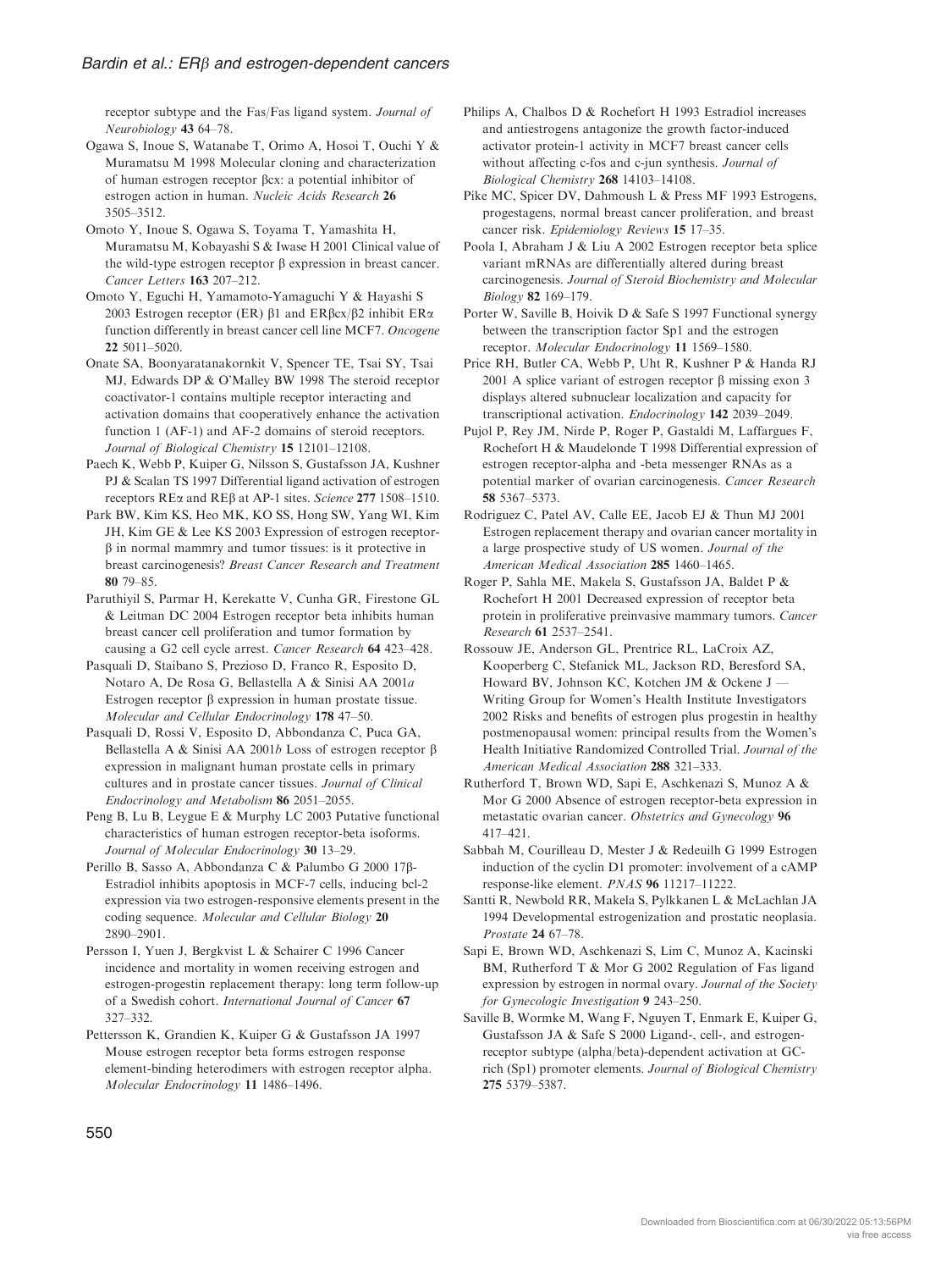receptor subtype and the Fas/Fas ligand system. Journal of Neurobiology 43 64–78.

Ogawa S, Inoue S, Watanabe T, Orimo A, Hosoi T, Ouchi Y & Muramatsu M 1998 Molecular cloning and characterization of human estrogen receptor  $\beta$ cx: a potential inhibitor of estrogen action in human. Nucleic Acids Research 26 3505–3512.

Omoto Y, Inoue S, Ogawa S, Toyama T, Yamashita H, Muramatsu M, Kobayashi S & Iwase H 2001 Clinical value of the wild-type estrogen receptor  $\beta$  expression in breast cancer. Cancer Letters 163 207–212.

Omoto Y, Eguchi H, Yamamoto-Yamaguchi Y & Hayashi S 2003 Estrogen receptor (ER)  $\beta$ 1 and ER $\beta$ cx/ $\beta$ 2 inhibit ER $\alpha$ function differently in breast cancer cell line MCF7. Oncogene 22 5011–5020.

Onate SA, Boonyaratanakornkit V, Spencer TE, Tsai SY, Tsai MJ, Edwards DP & O'Malley BW 1998 The steroid receptor coactivator-1 contains multiple receptor interacting and activation domains that cooperatively enhance the activation function 1 (AF-1) and AF-2 domains of steroid receptors. Journal of Biological Chemistry 15 12101–12108.

Paech K, Webb P, Kuiper G, Nilsson S, Gustafsson JA, Kushner PJ & Scalan TS 1997 Differential ligand activation of estrogen receptors REa and REb at AP-1 sites. Science 277 1508–1510.

Park BW, Kim KS, Heo MK, KO SS, Hong SW, Yang WI, Kim JH, Kim GE & Lee KS 2003 Expression of estrogen receptor- $\beta$  in normal mammry and tumor tissues: is it protective in breast carcinogenesis? Breast Cancer Research and Treatment 80 79–85.

Paruthiyil S, Parmar H, Kerekatte V, Cunha GR, Firestone GL & Leitman DC 2004 Estrogen receptor beta inhibits human breast cancer cell proliferation and tumor formation by causing a G2 cell cycle arrest. Cancer Research 64 423–428.

Pasquali D, Staibano S, Prezioso D, Franco R, Esposito D, Notaro A, De Rosa G, Bellastella A & Sinisi AA 2001a Estrogen receptor  $\beta$  expression in human prostate tissue. Molecular and Cellular Endocrinology 178 47–50.

Pasquali D, Rossi V, Esposito D, Abbondanza C, Puca GA, Bellastella A & Sinisi AA 2001b Loss of estrogen receptor  $\beta$ expression in malignant human prostate cells in primary cultures and in prostate cancer tissues. Journal of Clinical Endocrinology and Metabolism 86 2051–2055.

Peng B, Lu B, Leygue E & Murphy LC 2003 Putative functional characteristics of human estrogen receptor-beta isoforms. Journal of Molecular Endocrinology 30 13–29.

Perillo B, Sasso A, Abbondanza C & Palumbo G 2000 17b-Estradiol inhibits apoptosis in MCF-7 cells, inducing bcl-2 expression via two estrogen-responsive elements present in the coding sequence. Molecular and Cellular Biology 20 2890–2901.

Persson I, Yuen J, Bergkvist L & Schairer C 1996 Cancer incidence and mortality in women receiving estrogen and estrogen-progestin replacement therapy: long term follow-up of a Swedish cohort. International Journal of Cancer 67 327–332.

Pettersson K, Grandien K, Kuiper G & Gustafsson JA 1997 Mouse estrogen receptor beta forms estrogen response element-binding heterodimers with estrogen receptor alpha. Molecular Endocrinology 11 1486–1496.

Philips A, Chalbos D & Rochefort H 1993 Estradiol increases and antiestrogens antagonize the growth factor-induced activator protein-1 activity in MCF7 breast cancer cells without affecting c-fos and c-jun synthesis. Journal of Biological Chemistry 268 14103–14108.

Pike MC, Spicer DV, Dahmoush L & Press MF 1993 Estrogens, progestagens, normal breast cancer proliferation, and breast cancer risk. Epidemiology Reviews 15 17–35.

Poola I, Abraham J & Liu A 2002 Estrogen receptor beta splice variant mRNAs are differentially altered during breast carcinogenesis. Journal of Steroid Biochemistry and Molecular Biology 82 169–179.

Porter W, Saville B, Hoivik D & Safe S 1997 Functional synergy between the transcription factor Sp1 and the estrogen receptor. Molecular Endocrinology 11 1569–1580.

Price RH, Butler CA, Webb P, Uht R, Kushner P & Handa RJ 2001 A splice variant of estrogen receptor  $\beta$  missing exon 3 displays altered subnuclear localization and capacity for transcriptional activation. Endocrinology 142 2039–2049.

Pujol P, Rey JM, Nirde P, Roger P, Gastaldi M, Laffargues F, Rochefort H & Maudelonde T 1998 Differential expression of estrogen receptor-alpha and -beta messenger RNAs as a potential marker of ovarian carcinogenesis. Cancer Research 58 5367–5373.

Rodriguez C, Patel AV, Calle EE, Jacob EJ & Thun MJ 2001 Estrogen replacement therapy and ovarian cancer mortality in a large prospective study of US women. Journal of the American Medical Association 285 1460–1465.

Roger P, Sahla ME, Makela S, Gustafsson JA, Baldet P & Rochefort H 2001 Decreased expression of receptor beta protein in proliferative preinvasive mammary tumors. Cancer Research 61 2537–2541.

Rossouw JE, Anderson GL, Prentrice RL, LaCroix AZ, Kooperberg C, Stefanick ML, Jackson RD, Beresford SA, Howard BV, Johnson KC, Kotchen JM & Ockene J — Writing Group for Women's Health Institute Investigators 2002 Risks and benefits of estrogen plus progestin in healthy postmenopausal women: principal results from the Women's Health Initiative Randomized Controlled Trial. Journal of the American Medical Association 288 321–333.

Rutherford T, Brown WD, Sapi E, Aschkenazi S, Munoz A & Mor G 2000 Absence of estrogen receptor-beta expression in metastatic ovarian cancer. Obstetrics and Gynecology 96 417–421.

Sabbah M, Courilleau D, Mester J & Redeuilh G 1999 Estrogen induction of the cyclin D1 promoter: involvement of a cAMP response-like element. PNAS 96 11217–11222.

Santti R, Newbold RR, Makela S, Pylkkanen L & McLachlan JA 1994 Developmental estrogenization and prostatic neoplasia. Prostate 24 67–78.

Sapi E, Brown WD, Aschkenazi S, Lim C, Munoz A, Kacinski BM, Rutherford T & Mor G 2002 Regulation of Fas ligand expression by estrogen in normal ovary. Journal of the Society for Gynecologic Investigation 9 243–250.

Saville B, Wormke M, Wang F, Nguyen T, Enmark E, Kuiper G, Gustafsson JA & Safe S 2000 Ligand-, cell-, and estrogenreceptor subtype (alpha/beta)-dependent activation at GCrich (Sp1) promoter elements. Journal of Biological Chemistry 275 5379–5387.